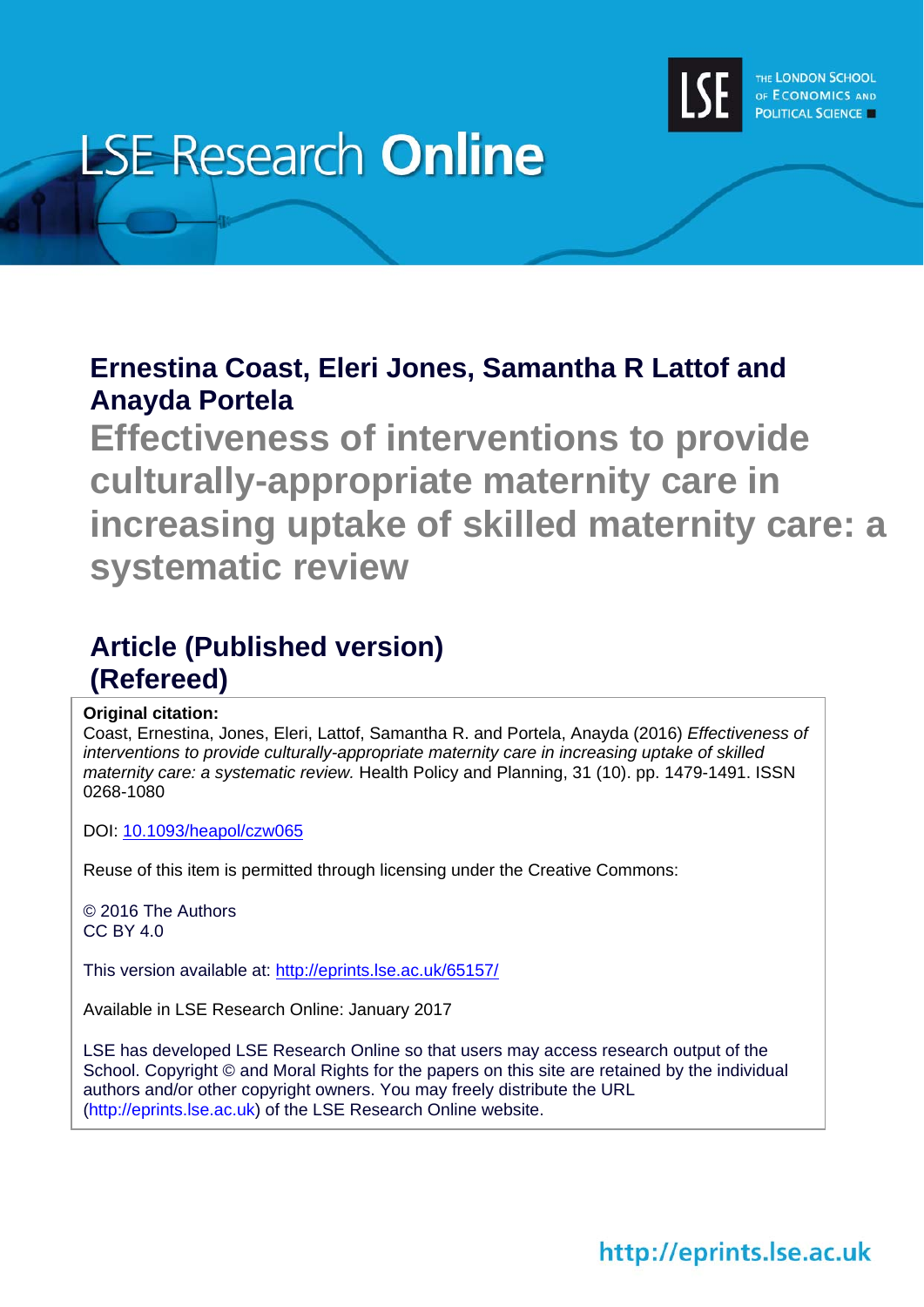

# **LSE Research Online**

## **Ernestina Coast, Eleri Jones, Samantha R Lattof and Anayda Portela**

**Effectiveness of interventions to provide culturally-appropriate maternity care in increasing uptake of skilled maternity care: a systematic review** 

# **Article (Published version) (Refereed)**

## **Original citation:**

Coast, Ernestina, Jones, Eleri, Lattof, Samantha R. and Portela, Anayda (2016) *Effectiveness of interventions to provide culturally-appropriate maternity care in increasing uptake of skilled maternity care: a systematic review.* Health Policy and Planning, 31 (10). pp. 1479-1491. ISSN 0268-1080

DOI: 10.1093/heapol/czw065

Reuse of this item is permitted through licensing under the Creative Commons:

© 2016 The Authors CC BY 4.0

This version available at: http://eprints.lse.ac.uk/65157/

Available in LSE Research Online: January 2017

LSE has developed LSE Research Online so that users may access research output of the School. Copyright © and Moral Rights for the papers on this site are retained by the individual authors and/or other copyright owners. You may freely distribute the URL (http://eprints.lse.ac.uk) of the LSE Research Online website.

http://eprints.lse.ac.uk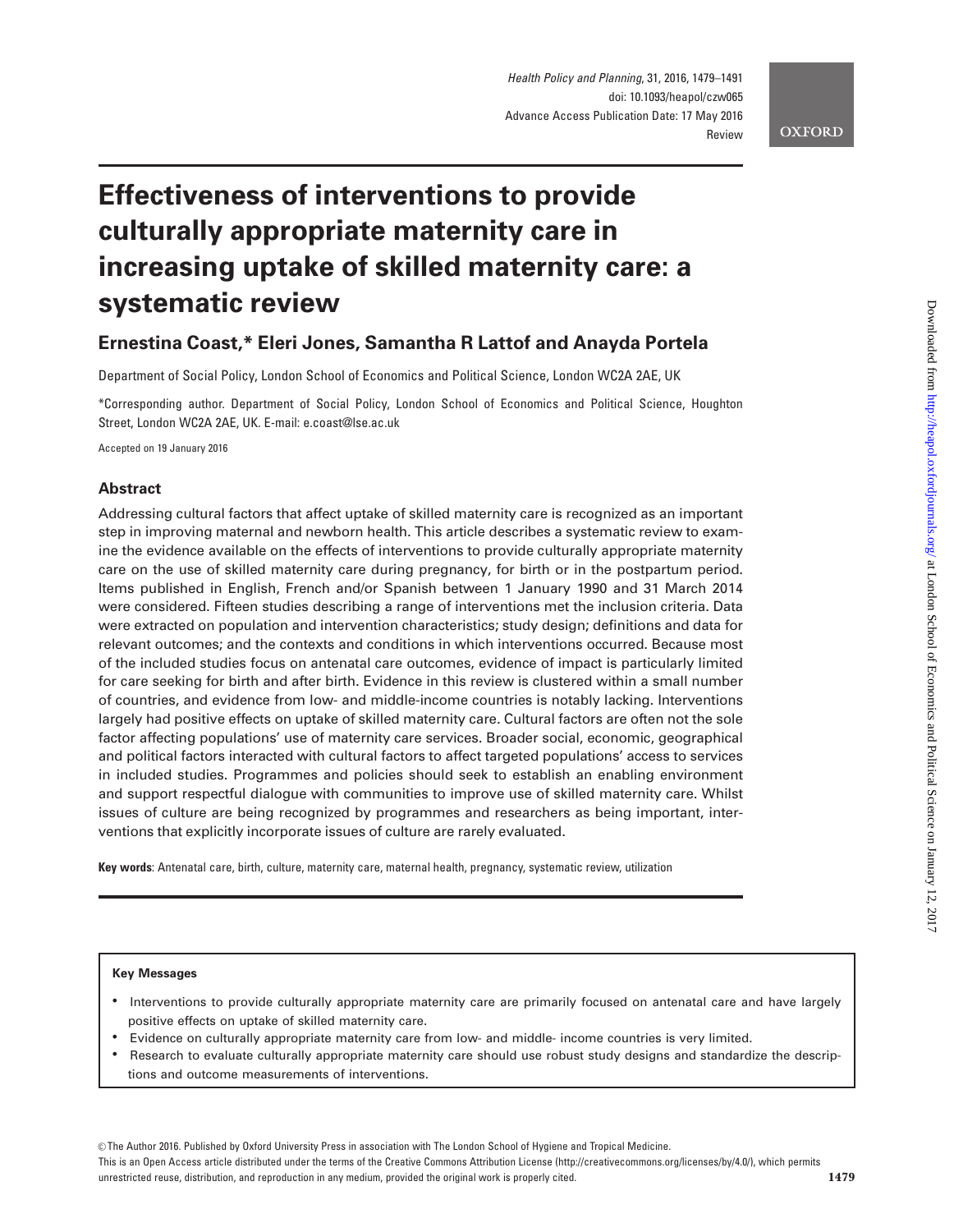#### **OXFORD**

# Effectiveness of interventions to provide culturally appropriate maternity care in increasing uptake of skilled maternity care: a systematic review

## Ernestina Coast,\* Eleri Jones, Samantha R Lattof and Anayda Portela

Department of Social Policy, London School of Economics and Political Science, London WC2A 2AE, UK

\*Corresponding author. Department of Social Policy, London School of Economics and Political Science, Houghton Street, London WC2A 2AE, UK. E-mail: e.coast@lse.ac.uk

Accepted on 19 January 2016

### Abstract

Addressing cultural factors that affect uptake of skilled maternity care is recognized as an important step in improving maternal and newborn health. This article describes a systematic review to examine the evidence available on the effects of interventions to provide culturally appropriate maternity care on the use of skilled maternity care during pregnancy, for birth or in the postpartum period. Items published in English, French and/or Spanish between 1 January 1990 and 31 March 2014 were considered. Fifteen studies describing a range of interventions met the inclusion criteria. Data were extracted on population and intervention characteristics; study design; definitions and data for relevant outcomes; and the contexts and conditions in which interventions occurred. Because most of the included studies focus on antenatal care outcomes, evidence of impact is particularly limited for care seeking for birth and after birth. Evidence in this review is clustered within a small number of countries, and evidence from low- and middle-income countries is notably lacking. Interventions largely had positive effects on uptake of skilled maternity care. Cultural factors are often not the sole factor affecting populations' use of maternity care services. Broader social, economic, geographical and political factors interacted with cultural factors to affect targeted populations' access to services in included studies. Programmes and policies should seek to establish an enabling environment and support respectful dialogue with communities to improve use of skilled maternity care. Whilst issues of culture are being recognized by programmes and researchers as being important, interventions that explicitly incorporate issues of culture are rarely evaluated.

Key words: Antenatal care, birth, culture, maternity care, maternal health, pregnancy, systematic review, utilization

#### Key Messages

- Interventions to provide culturally appropriate maternity care are primarily focused on antenatal care and have largely positive effects on uptake of skilled maternity care.
- Evidence on culturally appropriate maternity care from low- and middle- income countries is very limited.
- Research to evaluate culturally appropriate maternity care should use robust study designs and standardize the descriptions and outcome measurements of interventions.

 $\degree$ The Author 2016. Published by Oxford University Press in association with The London School of Hygiene and Tropical Medicine.

This is an Open Access article distributed under the terms of the Creative Commons Attribution License (http://creativecommons.org/licenses/by/4.0/), which permits unrestricted reuse, distribution, and reproduction in any medium, provided the original work is properly cited.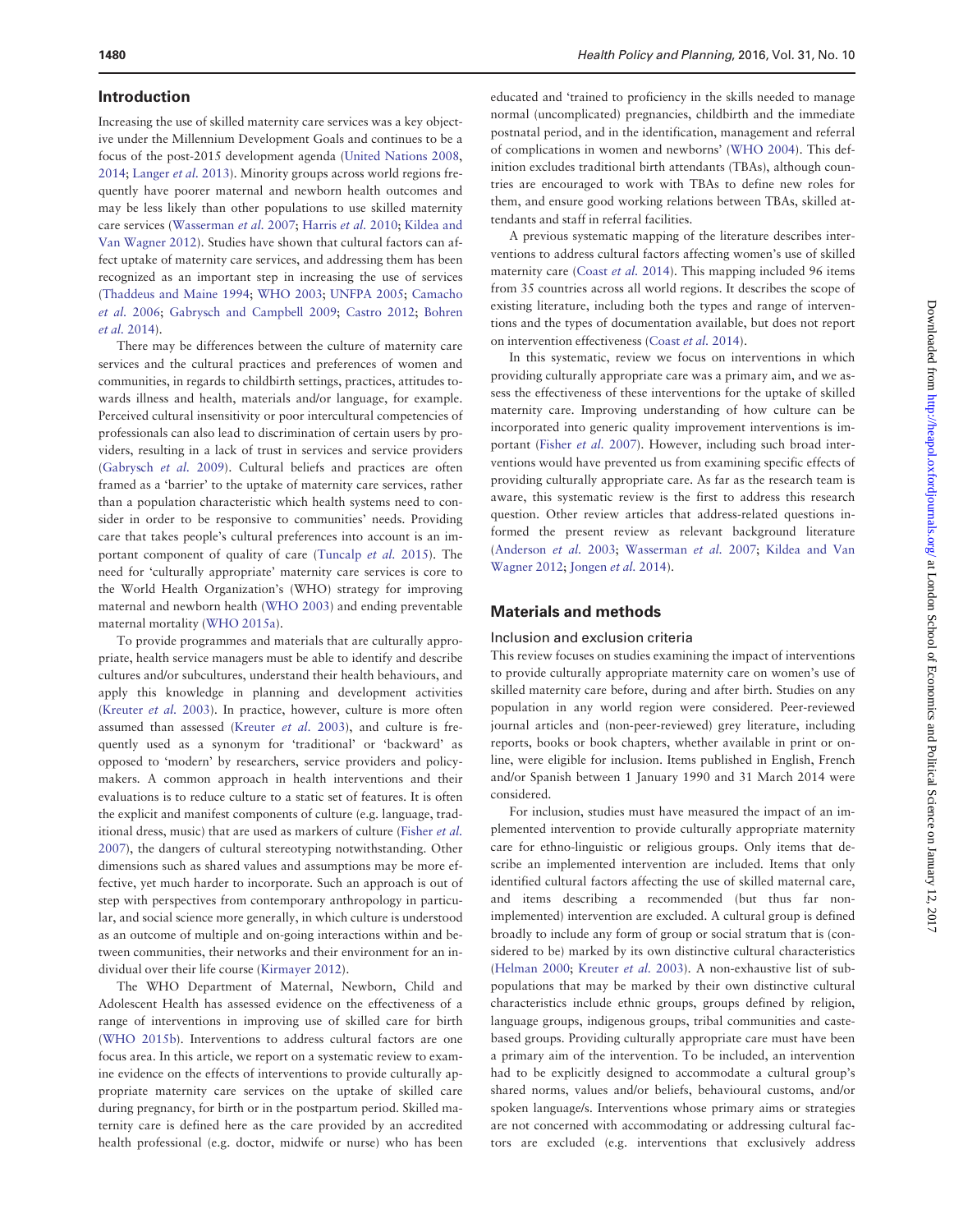#### Introduction

Increasing the use of skilled maternity care services was a key objective under the Millennium Development Goals and continues to be a focus of the post-2015 development agenda [\(United Nations 2008,](#page-13-0) [2014;](#page-13-0) [Langer](#page-13-0) et al. 2013). Minority groups across world regions frequently have poorer maternal and newborn health outcomes and may be less likely than other populations to use skilled maternity care services ([Wasserman](#page-13-0) et al. 2007; [Harris](#page-13-0) et al. 2010; [Kildea and](#page-13-0) [Van Wagner 2012](#page-13-0)). Studies have shown that cultural factors can affect uptake of maternity care services, and addressing them has been recognized as an important step in increasing the use of services ([Thaddeus and Maine 1994](#page-13-0); [WHO 2003](#page-13-0); [UNFPA 2005](#page-13-0); [Camacho](#page-13-0) [et al.](#page-13-0) 2006; [Gabrysch and Campbell 2009](#page-13-0); [Castro 2012](#page-13-0); [Bohren](#page-13-0) et al. [2014](#page-13-0)).

There may be differences between the culture of maternity care services and the cultural practices and preferences of women and communities, in regards to childbirth settings, practices, attitudes towards illness and health, materials and/or language, for example. Perceived cultural insensitivity or poor intercultural competencies of professionals can also lead to discrimination of certain users by providers, resulting in a lack of trust in services and service providers ([Gabrysch](#page-13-0) et al. 2009). Cultural beliefs and practices are often framed as a 'barrier' to the uptake of maternity care services, rather than a population characteristic which health systems need to consider in order to be responsive to communities' needs. Providing care that takes people's cultural preferences into account is an important component of quality of care ([Tuncalp](#page-13-0) et al. 2015). The need for 'culturally appropriate' maternity care services is core to the World Health Organization's (WHO) strategy for improving maternal and newborn health [\(WHO 2003\)](#page-13-0) and ending preventable maternal mortality [\(WHO 2015a](#page-13-0)).

To provide programmes and materials that are culturally appropriate, health service managers must be able to identify and describe cultures and/or subcultures, understand their health behaviours, and apply this knowledge in planning and development activities ([Kreuter](#page-13-0) et al. 2003). In practice, however, culture is more often assumed than assessed ([Kreuter](#page-13-0) et al. 2003), and culture is frequently used as a synonym for 'traditional' or 'backward' as opposed to 'modern' by researchers, service providers and policymakers. A common approach in health interventions and their evaluations is to reduce culture to a static set of features. It is often the explicit and manifest components of culture (e.g. language, traditional dress, music) that are used as markers of culture [\(Fisher](#page-13-0) et al. [2007\)](#page-13-0), the dangers of cultural stereotyping notwithstanding. Other dimensions such as shared values and assumptions may be more effective, yet much harder to incorporate. Such an approach is out of step with perspectives from contemporary anthropology in particular, and social science more generally, in which culture is understood as an outcome of multiple and on-going interactions within and between communities, their networks and their environment for an individual over their life course ([Kirmayer 2012](#page-13-0)).

The WHO Department of Maternal, Newborn, Child and Adolescent Health has assessed evidence on the effectiveness of a range of interventions in improving use of skilled care for birth ([WHO 2015b](#page-13-0)). Interventions to address cultural factors are one focus area. In this article, we report on a systematic review to examine evidence on the effects of interventions to provide culturally appropriate maternity care services on the uptake of skilled care during pregnancy, for birth or in the postpartum period. Skilled maternity care is defined here as the care provided by an accredited health professional (e.g. doctor, midwife or nurse) who has been

educated and 'trained to proficiency in the skills needed to manage normal (uncomplicated) pregnancies, childbirth and the immediate postnatal period, and in the identification, management and referral of complications in women and newborns' [\(WHO 2004\)](#page-13-0). This definition excludes traditional birth attendants (TBAs), although countries are encouraged to work with TBAs to define new roles for them, and ensure good working relations between TBAs, skilled attendants and staff in referral facilities.

A previous systematic mapping of the literature describes interventions to address cultural factors affecting women's use of skilled maternity care [\(Coast](#page-13-0) et al. 2014). This mapping included 96 items from 35 countries across all world regions. It describes the scope of existing literature, including both the types and range of interventions and the types of documentation available, but does not report on intervention effectiveness ([Coast](#page-13-0) et al. 2014).

In this systematic, review we focus on interventions in which providing culturally appropriate care was a primary aim, and we assess the effectiveness of these interventions for the uptake of skilled maternity care. Improving understanding of how culture can be incorporated into generic quality improvement interventions is important [\(Fisher](#page-13-0) et al. 2007). However, including such broad interventions would have prevented us from examining specific effects of providing culturally appropriate care. As far as the research team is aware, this systematic review is the first to address this research question. Other review articles that address-related questions informed the present review as relevant background literature ([Anderson](#page-12-0) et al. 2003; [Wasserman](#page-13-0) et al. 2007; [Kildea and Van](#page-13-0) [Wagner 2012;](#page-13-0) [Jongen](#page-13-0) et al. 2014).

#### Materials and methods

#### Inclusion and exclusion criteria

This review focuses on studies examining the impact of interventions to provide culturally appropriate maternity care on women's use of skilled maternity care before, during and after birth. Studies on any population in any world region were considered. Peer-reviewed journal articles and (non-peer-reviewed) grey literature, including reports, books or book chapters, whether available in print or online, were eligible for inclusion. Items published in English, French and/or Spanish between 1 January 1990 and 31 March 2014 were considered.

For inclusion, studies must have measured the impact of an implemented intervention to provide culturally appropriate maternity care for ethno-linguistic or religious groups. Only items that describe an implemented intervention are included. Items that only identified cultural factors affecting the use of skilled maternal care, and items describing a recommended (but thus far nonimplemented) intervention are excluded. A cultural group is defined broadly to include any form of group or social stratum that is (considered to be) marked by its own distinctive cultural characteristics ([Helman 2000](#page-13-0); [Kreuter](#page-13-0) et al. 2003). A non-exhaustive list of subpopulations that may be marked by their own distinctive cultural characteristics include ethnic groups, groups defined by religion, language groups, indigenous groups, tribal communities and castebased groups. Providing culturally appropriate care must have been a primary aim of the intervention. To be included, an intervention had to be explicitly designed to accommodate a cultural group's shared norms, values and/or beliefs, behavioural customs, and/or spoken language/s. Interventions whose primary aims or strategies are not concerned with accommodating or addressing cultural factors are excluded (e.g. interventions that exclusively address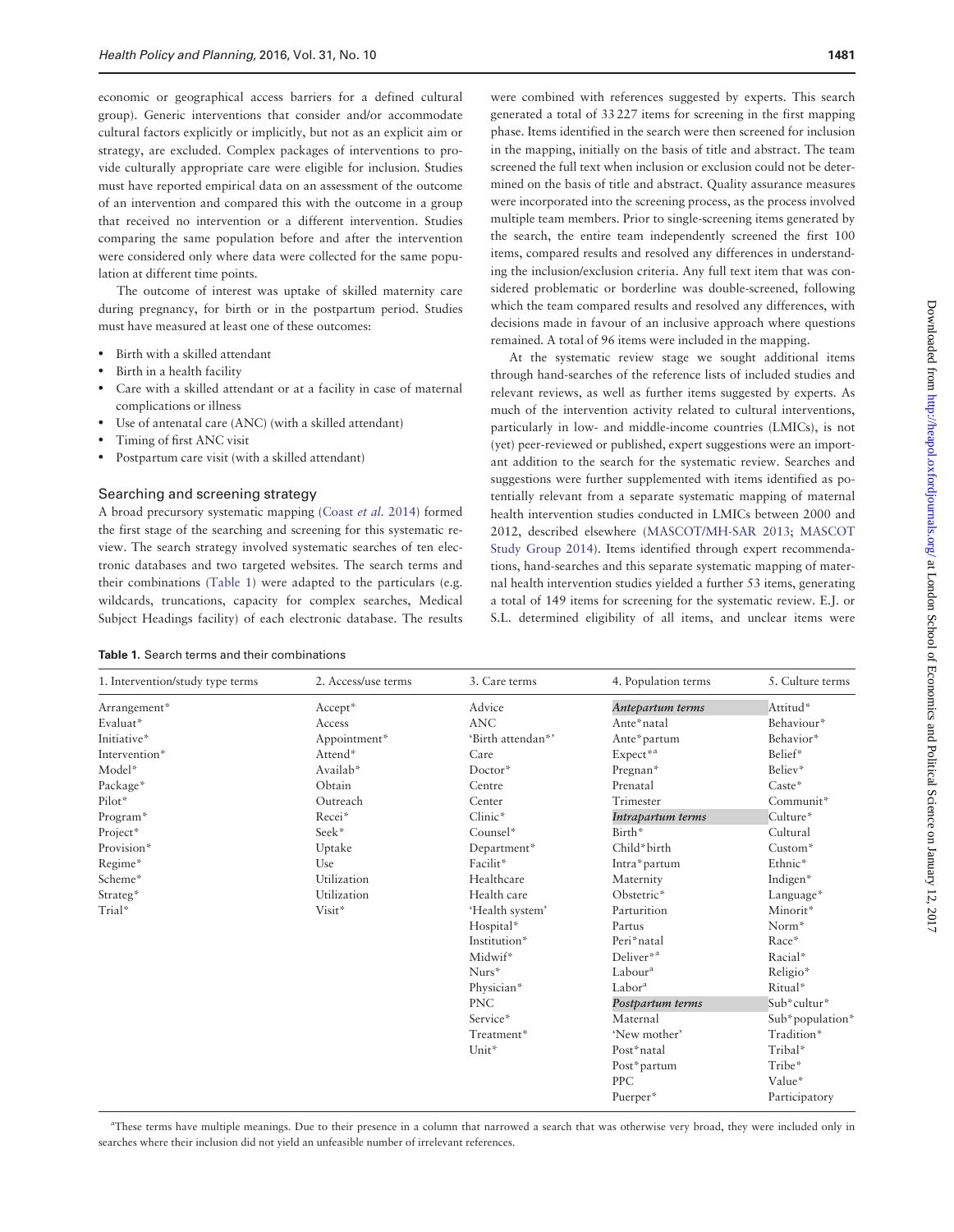economic or geographical access barriers for a defined cultural group). Generic interventions that consider and/or accommodate cultural factors explicitly or implicitly, but not as an explicit aim or strategy, are excluded. Complex packages of interventions to provide culturally appropriate care were eligible for inclusion. Studies must have reported empirical data on an assessment of the outcome of an intervention and compared this with the outcome in a group that received no intervention or a different intervention. Studies comparing the same population before and after the intervention were considered only where data were collected for the same population at different time points.

The outcome of interest was uptake of skilled maternity care during pregnancy, for birth or in the postpartum period. Studies must have measured at least one of these outcomes:

- Birth with a skilled attendant
- Birth in a health facility
- Care with a skilled attendant or at a facility in case of maternal complications or illness
- Use of antenatal care (ANC) (with a skilled attendant)
- Timing of first ANC visit
- Postpartum care visit (with a skilled attendant)

#### Searching and screening strategy

A broad precursory systematic mapping [\(Coast](#page-13-0) et al. 2014) formed the first stage of the searching and screening for this systematic review. The search strategy involved systematic searches of ten electronic databases and two targeted websites. The search terms and their combinations (Table 1) were adapted to the particulars (e.g. wildcards, truncations, capacity for complex searches, Medical Subject Headings facility) of each electronic database. The results

|  | Table 1. Search terms and their combinations |  |
|--|----------------------------------------------|--|
|--|----------------------------------------------|--|

were combined with references suggested by experts. This search generated a total of 33 227 items for screening in the first mapping phase. Items identified in the search were then screened for inclusion in the mapping, initially on the basis of title and abstract. The team screened the full text when inclusion or exclusion could not be determined on the basis of title and abstract. Quality assurance measures were incorporated into the screening process, as the process involved multiple team members. Prior to single-screening items generated by the search, the entire team independently screened the first 100 items, compared results and resolved any differences in understanding the inclusion/exclusion criteria. Any full text item that was considered problematic or borderline was double-screened, following which the team compared results and resolved any differences, with decisions made in favour of an inclusive approach where questions remained. A total of 96 items were included in the mapping.

At the systematic review stage we sought additional items through hand-searches of the reference lists of included studies and relevant reviews, as well as further items suggested by experts. As much of the intervention activity related to cultural interventions, particularly in low- and middle-income countries (LMICs), is not (yet) peer-reviewed or published, expert suggestions were an important addition to the search for the systematic review. Searches and suggestions were further supplemented with items identified as potentially relevant from a separate systematic mapping of maternal health intervention studies conducted in LMICs between 2000 and 2012, described elsewhere [\(MASCOT/MH-SAR 2013](#page-13-0); [MASCOT](#page-13-0) [Study Group 2014](#page-13-0)). Items identified through expert recommendations, hand-searches and this separate systematic mapping of maternal health intervention studies yielded a further 53 items, generating a total of 149 items for screening for the systematic review. E.J. or S.L. determined eligibility of all items, and unclear items were

| 1. Intervention/study type terms | 2. Access/use terms | 3. Care terms     | 4. Population terms   | 5. Culture terms |
|----------------------------------|---------------------|-------------------|-----------------------|------------------|
| Arrangement*                     | Accept*             | Advice            | Antepartum terms      | Attitud*         |
| Evaluat*                         | Access              | <b>ANC</b>        | Ante*natal            | Behaviour*       |
| Initiative*                      | Appointment*        | 'Birth attendan*' | Ante*partum           | Behavior*        |
| Intervention*                    | Attend*             | Care              | Expect* <sup>a</sup>  | Belief*          |
| Model*                           | Availab*            | $Doctor*$         | Pregnan*              | Believ*          |
| Package*                         | Obtain              | Centre            | Prenatal              | Caste*           |
| Pilot*                           | Outreach            | Center            | Trimester             | Communit*        |
| Program*                         | Recei*              | Clinic*           | Intrapartum terms     | Culture*         |
| Project*                         | Seek*               | Counsel*          | Birth*                | Cultural         |
| Provision*                       | Uptake              | Department*       | Child*birth           | $Custom*$        |
| Regime*                          | Use                 | Facilit*          | Intra*partum          | Ethnic*          |
| Scheme*                          | Utilization         | Healthcare        | Maternity             | Indigen*         |
| Strateg*                         | Utilization         | Health care       | Obstetric*            | Language*        |
| Trial*                           | Visit*              | 'Health system'   | Parturition           | Minorit*         |
|                                  |                     | Hospital*         | Partus                | Norm*            |
|                                  |                     | Institution*      | Peri*natal            | Race*            |
|                                  |                     | Midwif*           | Deliver <sup>*a</sup> | Racial*          |
|                                  |                     | Nurs*             | Labour <sup>a</sup>   | Religio*         |
|                                  |                     | Physician*        | Labor <sup>a</sup>    | Ritual*          |
|                                  |                     | <b>PNC</b>        | Postpartum terms      | Sub*cultur*      |
|                                  |                     | Service*          | Maternal              | Sub*population*  |
|                                  |                     | Treatment*        | 'New mother'          | Tradition*       |
|                                  |                     | Unit*             | Post*natal            | Tribal*          |
|                                  |                     |                   | Post*partum           | Tribe*           |
|                                  |                     |                   | <b>PPC</b>            | Value*           |
|                                  |                     |                   | Puerper*              | Participatory    |

a These terms have multiple meanings. Due to their presence in a column that narrowed a search that was otherwise very broad, they were included only in searches where their inclusion did not yield an unfeasible number of irrelevant references.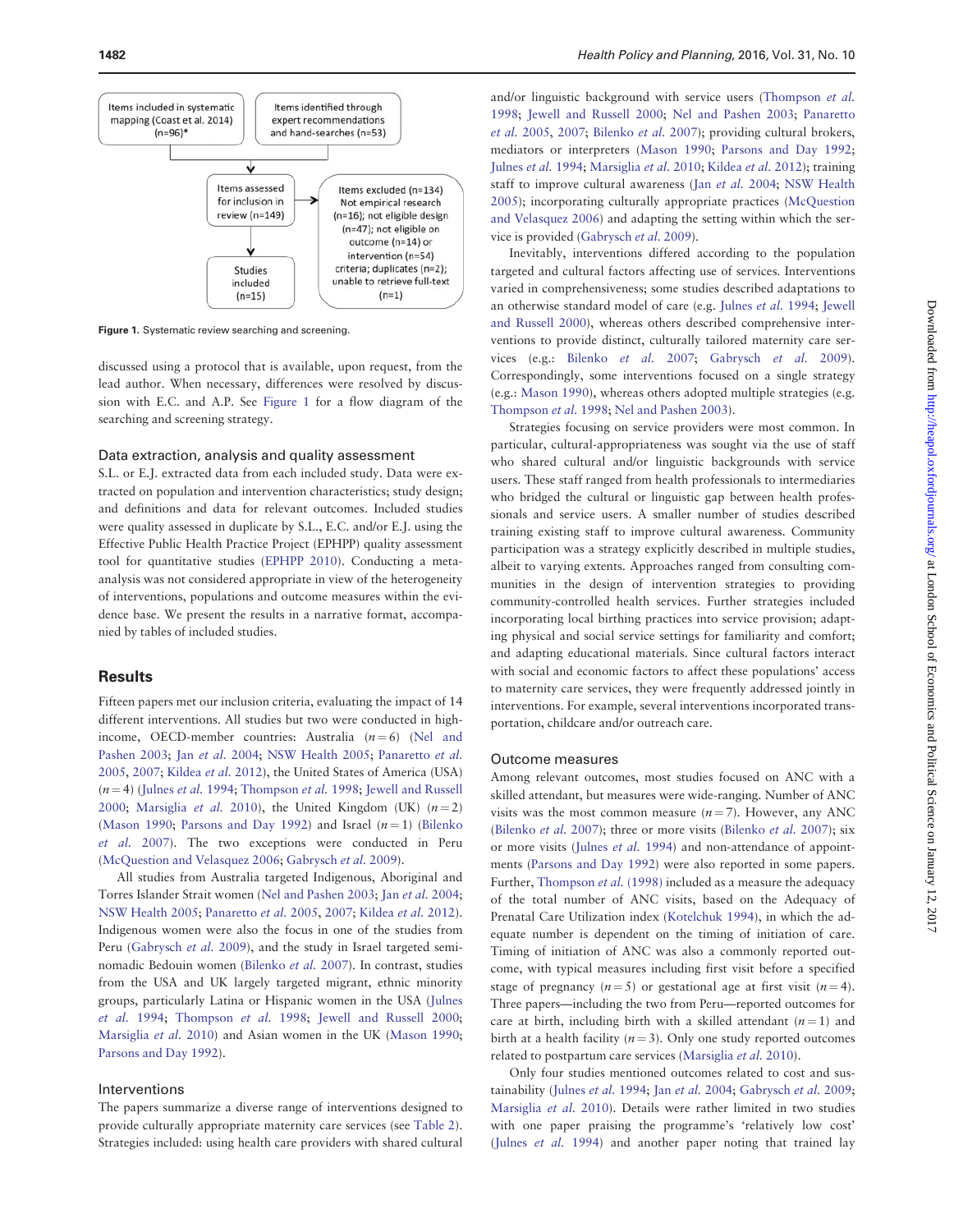

Figure 1. Systematic review searching and screening.

discussed using a protocol that is available, upon request, from the lead author. When necessary, differences were resolved by discussion with E.C. and A.P. See Figure 1 for a flow diagram of the searching and screening strategy.

#### Data extraction, analysis and quality assessment

S.L. or E.J. extracted data from each included study. Data were extracted on population and intervention characteristics; study design; and definitions and data for relevant outcomes. Included studies were quality assessed in duplicate by S.L., E.C. and/or E.J. using the Effective Public Health Practice Project (EPHPP) quality assessment tool for quantitative studies [\(EPHPP 2010\)](#page-13-0). Conducting a metaanalysis was not considered appropriate in view of the heterogeneity of interventions, populations and outcome measures within the evidence base. We present the results in a narrative format, accompanied by tables of included studies.

#### **Results**

Fifteen papers met our inclusion criteria, evaluating the impact of 14 different interventions. All studies but two were conducted in highincome, OECD-member countries: Australia  $(n = 6)$  ([Nel and](#page-13-0) [Pashen 2003;](#page-13-0) Jan [et al.](#page-13-0) 2004; [NSW Health 2005;](#page-13-0) [Panaretto](#page-13-0) et al. [2005,](#page-13-0) [2007;](#page-13-0) [Kildea](#page-13-0) et al. 2012), the United States of America (USA)  $(n = 4)$  ([Julnes](#page-13-0) et al. 1994; [Thompson](#page-13-0) et al. 1998; [Jewell and Russell](#page-13-0) [2000;](#page-13-0) [Marsiglia](#page-13-0) et al. 2010), the United Kingdom (UK)  $(n=2)$ ([Mason 1990;](#page-13-0) [Parsons and Day 1992\)](#page-13-0) and Israel  $(n = 1)$  ([Bilenko](#page-12-0) [et al.](#page-12-0) 2007). The two exceptions were conducted in Peru ([McQuestion and Velasquez 2006;](#page-13-0) [Gabrysch](#page-13-0) et al. 2009).

All studies from Australia targeted Indigenous, Aboriginal and Torres Islander Strait women ([Nel and Pashen 2003;](#page-13-0) Jan et al. [2004;](#page-13-0) [NSW Health 2005](#page-13-0); [Panaretto](#page-13-0) et al. 2005, [2007](#page-13-0); [Kildea](#page-13-0) et al. 2012). Indigenous women were also the focus in one of the studies from Peru [\(Gabrysch](#page-13-0) et al. 2009), and the study in Israel targeted seminomadic Bedouin women [\(Bilenko](#page-12-0) et al. 2007). In contrast, studies from the USA and UK largely targeted migrant, ethnic minority groups, particularly Latina or Hispanic women in the USA [\(Julnes](#page-13-0) [et al.](#page-13-0) 1994; [Thompson](#page-13-0) et al. 1998; Jewell [and Russell 2000;](#page-13-0) [Marsiglia](#page-13-0) et al. 2010) and Asian women in the UK [\(Mason 1990;](#page-13-0) [Parsons and Day 1992](#page-13-0)).

#### Interventions

The papers summarize a diverse range of interventions designed to provide culturally appropriate maternity care services (see [Table 2](#page-5-0)). Strategies included: using health care providers with shared cultural

and/or linguistic background with service users [\(Thompson](#page-13-0) et al. [1998;](#page-13-0) [Jewell and Russell 2000;](#page-13-0) [Nel and Pashen 2003;](#page-13-0) [Panaretto](#page-13-0) [et al.](#page-13-0) 2005, [2007;](#page-13-0) [Bilenko](#page-12-0) et al. 2007); providing cultural brokers, mediators or interpreters [\(Mason 1990;](#page-13-0) [Parsons and Day 1992;](#page-13-0) [Julnes](#page-13-0) et al. 1994; [Marsiglia](#page-13-0) et al. 2010; [Kildea](#page-13-0) et al. 2012); training staff to improve cultural awareness (Jan et al. [2004;](#page-13-0) [NSW Health](#page-13-0) [2005\)](#page-13-0); incorporating culturally appropriate practices [\(McQuestion](#page-13-0) [and Velasquez 2006\)](#page-13-0) and adapting the setting within which the service is provided ([Gabrysch](#page-13-0) et al. 2009).

Inevitably, interventions differed according to the population targeted and cultural factors affecting use of services. Interventions varied in comprehensiveness; some studies described adaptations to an otherwise standard model of care (e.g. [Julnes](#page-13-0) et al. 1994; [Jewell](#page-13-0) [and Russell 2000\)](#page-13-0), whereas others described comprehensive interventions to provide distinct, culturally tailored maternity care services (e.g.: [Bilenko](#page-12-0) et al. 2007; [Gabrysch](#page-13-0) et al. 2009). Correspondingly, some interventions focused on a single strategy (e.g.: [Mason 1990](#page-13-0)), whereas others adopted multiple strategies (e.g. [Thompson](#page-13-0) et al. 1998; [Nel and Pashen 2003](#page-13-0)).

Strategies focusing on service providers were most common. In particular, cultural-appropriateness was sought via the use of staff who shared cultural and/or linguistic backgrounds with service users. These staff ranged from health professionals to intermediaries who bridged the cultural or linguistic gap between health professionals and service users. A smaller number of studies described training existing staff to improve cultural awareness. Community participation was a strategy explicitly described in multiple studies, albeit to varying extents. Approaches ranged from consulting communities in the design of intervention strategies to providing community-controlled health services. Further strategies included incorporating local birthing practices into service provision; adapting physical and social service settings for familiarity and comfort; and adapting educational materials. Since cultural factors interact with social and economic factors to affect these populations' access to maternity care services, they were frequently addressed jointly in interventions. For example, several interventions incorporated transportation, childcare and/or outreach care.

#### Outcome measures

Among relevant outcomes, most studies focused on ANC with a skilled attendant, but measures were wide-ranging. Number of ANC visits was the most common measure  $(n = 7)$ . However, any ANC ([Bilenko](#page-12-0) et al. 2007); three or more visits [\(Bilenko](#page-12-0) et al. 2007); six or more visits ([Julnes](#page-13-0) et al. 1994) and non-attendance of appointments [\(Parsons and Day 1992\)](#page-13-0) were also reported in some papers. Further, [Thompson](#page-13-0) et al. (1998) included as a measure the adequacy of the total number of ANC visits, based on the Adequacy of Prenatal Care Utilization index ([Kotelchuk 1994](#page-13-0)), in which the adequate number is dependent on the timing of initiation of care. Timing of initiation of ANC was also a commonly reported outcome, with typical measures including first visit before a specified stage of pregnancy  $(n = 5)$  or gestational age at first visit  $(n = 4)$ . Three papers—including the two from Peru—reported outcomes for care at birth, including birth with a skilled attendant  $(n = 1)$  and birth at a health facility  $(n = 3)$ . Only one study reported outcomes related to postpartum care services [\(Marsiglia](#page-13-0) et al. 2010).

Only four studies mentioned outcomes related to cost and sus-tainability [\(Julnes](#page-13-0) et al. 1994; Jan et al. [2004](#page-13-0); [Gabrysch](#page-13-0) et al. 2009; [Marsiglia](#page-13-0) et al. 2010). Details were rather limited in two studies with one paper praising the programme's 'relatively low cost' ([Julnes](#page-13-0) et al. 1994) and another paper noting that trained lay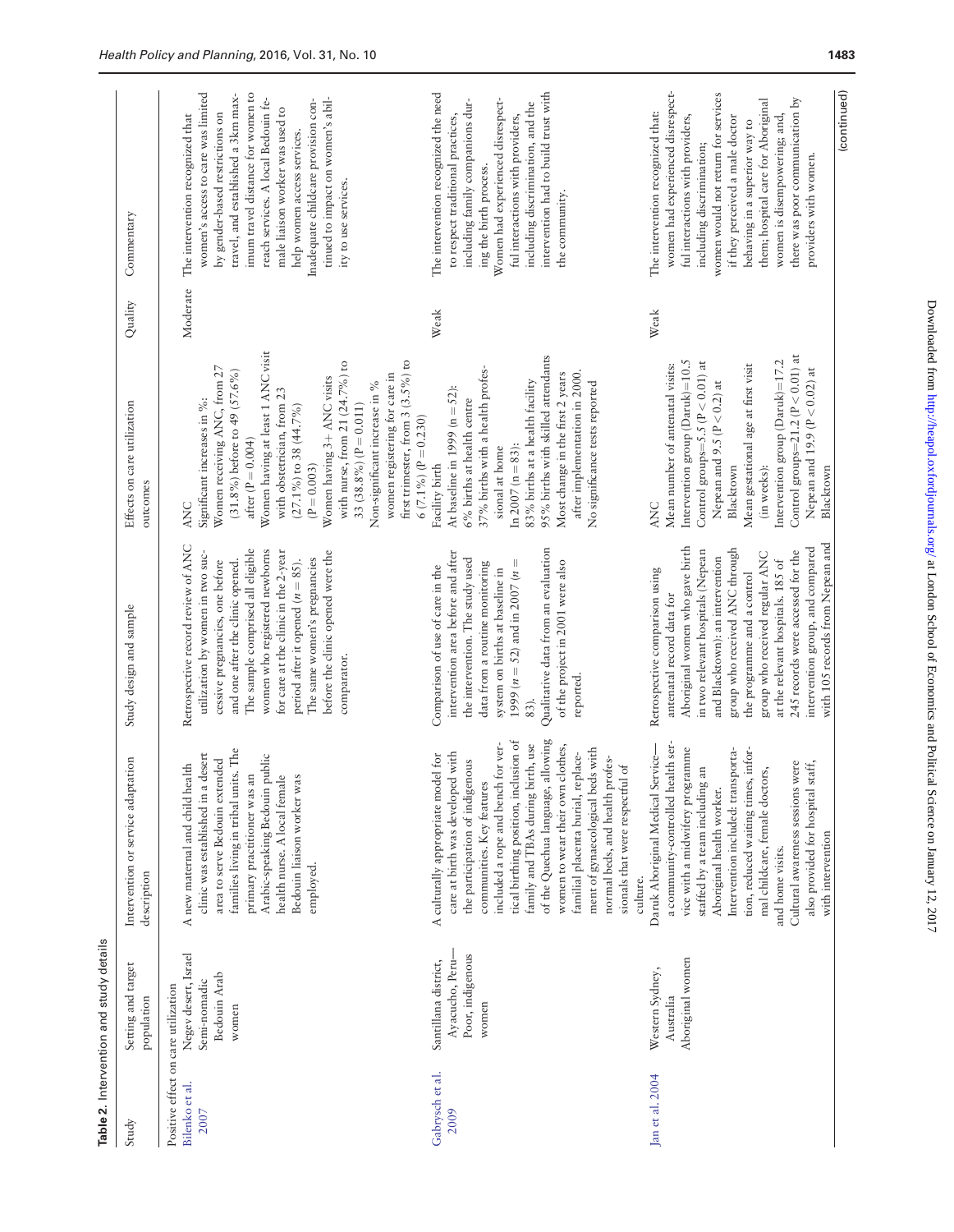<span id="page-5-0"></span>

| Aboriginal women who gave birth<br>Qualitative data from an evaluation<br>group who received ANC through<br>The sample comprised all eligible<br>women who registered newborns<br>in two relevant hospitals (Nepean<br>for care at the clinic in the 2-year<br>utilization by women in two suc-<br>before the clinic opened were the<br>intervention area before and after<br>and Blacktown): an intervention<br>The same women's pregnancies<br>the intervention. The study used<br>period after it opened ( $n = 85$ ).<br>and one after the clinic opened.<br>of the project in 2001 were also<br>cessive pregnancies, one before<br>1999 ( $n = 52$ ) and in 2007 ( $n =$<br>data from a routine monitoring<br>Comparison of use of care in the<br>system on births at baseline in<br>Retrospective comparison using<br>antenatal record data for<br>Study design and sample<br>comparator.<br>reported.<br>83).<br>of the Quechua language, allowing<br>tical birthing position, inclusion of<br>a community-controlled health ser-<br>included a rope and bench for ver-<br>family and TBAs during birth, use<br>women to wear their own clothes,<br>ment of gynaecological beds with<br>vice with a midwifery programme<br>Intervention included: transporta-<br>families living in tribal units. The<br>familial placenta burial, replace-<br>Daruk Aboriginal Medical Service-<br>care at birth was developed with<br>clinic was established in a desert<br>A culturally appropriate model for<br>Arabic-speaking Bedouin public<br>normal beds, and health profes-<br>area to serve Bedouin extended<br>Intervention or service adaptation<br>the participation of indigenous<br>A new maternal and child health<br>sionals that were respectful of<br>staffed by a team including an<br>primary practitioner was an<br>health nurse. A local female<br>Bedouin liaison worker was<br>communities. Key features<br>Aboriginal health worker.<br>employed.<br>description<br>culture.<br>Negev desert, Israel<br>Poor, indigenous<br>Aboriginal women<br>Santillana district,<br>Ayacucho, Peru-<br>Setting and target<br>Western Sydney,<br>Bedouin Arab<br>Semi-nomadic<br>Positive effect on care utilization<br>Australia<br>population<br>women<br>women<br>Gabrysch et al.<br>Jan et al. 2004<br>Bilenko et al.<br>2009<br>2007<br>Study | Table 2. Intervention and study details |                                     |                                                                                                     |                                                                                                                                                                                                                                                                                                                                                                                                                                                           |          |                                                                                                                                                                                                                                                                                                                                                                                                     |
|---------------------------------------------------------------------------------------------------------------------------------------------------------------------------------------------------------------------------------------------------------------------------------------------------------------------------------------------------------------------------------------------------------------------------------------------------------------------------------------------------------------------------------------------------------------------------------------------------------------------------------------------------------------------------------------------------------------------------------------------------------------------------------------------------------------------------------------------------------------------------------------------------------------------------------------------------------------------------------------------------------------------------------------------------------------------------------------------------------------------------------------------------------------------------------------------------------------------------------------------------------------------------------------------------------------------------------------------------------------------------------------------------------------------------------------------------------------------------------------------------------------------------------------------------------------------------------------------------------------------------------------------------------------------------------------------------------------------------------------------------------------------------------------------------------------------------------------------------------------------------------------------------------------------------------------------------------------------------------------------------------------------------------------------------------------------------------------------------------------------------------------------------------------------------------------------------------------------------------------------------------------------------------------------------------------------------------------------------------|-----------------------------------------|-------------------------------------|-----------------------------------------------------------------------------------------------------|-----------------------------------------------------------------------------------------------------------------------------------------------------------------------------------------------------------------------------------------------------------------------------------------------------------------------------------------------------------------------------------------------------------------------------------------------------------|----------|-----------------------------------------------------------------------------------------------------------------------------------------------------------------------------------------------------------------------------------------------------------------------------------------------------------------------------------------------------------------------------------------------------|
|                                                                                                                                                                                                                                                                                                                                                                                                                                                                                                                                                                                                                                                                                                                                                                                                                                                                                                                                                                                                                                                                                                                                                                                                                                                                                                                                                                                                                                                                                                                                                                                                                                                                                                                                                                                                                                                                                                                                                                                                                                                                                                                                                                                                                                                                                                                                                         |                                         |                                     |                                                                                                     | Effects on care utilization<br>outcomes                                                                                                                                                                                                                                                                                                                                                                                                                   | Quality  | Commentary                                                                                                                                                                                                                                                                                                                                                                                          |
|                                                                                                                                                                                                                                                                                                                                                                                                                                                                                                                                                                                                                                                                                                                                                                                                                                                                                                                                                                                                                                                                                                                                                                                                                                                                                                                                                                                                                                                                                                                                                                                                                                                                                                                                                                                                                                                                                                                                                                                                                                                                                                                                                                                                                                                                                                                                                         |                                         |                                     | Retrospective record review of ANC                                                                  | Women having at least 1 ANC visit<br>first trimester, from 3 (3.5%) to<br>with nurse, from 21 $(24.7\%)$ to<br>Women receiving ANC, from 27<br>$(31.8\%)$ before to 49 $(57.6\%)$<br>women registering for care in<br>Women having 3+ ANC visits<br>Non-significant increase in %<br>with obstetrician, from 23<br>Significant increases in %:<br>33 (38.8%) ( $P = 0.011$ )<br>$(27.1\%)$ to 38 (44.7%)<br>after ( $P = 0.004$ )<br>$(P = 0.003)$<br>ANC | Moderate | women's access to care was limited<br>imum travel distance for women to<br>travel, and established a 3km max-<br>reach services. A local Bedouin fe-<br>tinued to impact on women's abil-<br>Inadequate childcare provision con-<br>male liaison worker was used to<br>by gender-based restrictions on<br>The intervention recognized that<br>help women access services.<br>ity to use services.   |
|                                                                                                                                                                                                                                                                                                                                                                                                                                                                                                                                                                                                                                                                                                                                                                                                                                                                                                                                                                                                                                                                                                                                                                                                                                                                                                                                                                                                                                                                                                                                                                                                                                                                                                                                                                                                                                                                                                                                                                                                                                                                                                                                                                                                                                                                                                                                                         |                                         |                                     |                                                                                                     | 95% births with skilled attendants<br>37% births with a health profes-<br>Most change in the first 2 years<br>after implementation in 2000.<br>83% births at a health facility<br>No significance tests reported<br>At baseline in 1999 ( $n = 52$ ):<br>6% births at health centre<br>$6(7.1\%) (P = 0.230)$<br>In $2007 (n = 83)$ :<br>sional at home<br>Facility birth                                                                                 | Weak     | intervention had to build trust with<br>The intervention recognized the need<br>Women had experienced disrespect-<br>including family companions dur-<br>including discrimination, and the<br>to respect traditional practices,<br>ful interactions with providers,<br>ing the birth process.<br>the community.                                                                                     |
| 245 records were accessed for the<br>group who received regular ANC<br>at the relevant hospitals. 185 of<br>Cultural awareness sessions were<br>also provided for hospital staff,<br>mal childcare, female doctors,<br>with intervention<br>and home visits.                                                                                                                                                                                                                                                                                                                                                                                                                                                                                                                                                                                                                                                                                                                                                                                                                                                                                                                                                                                                                                                                                                                                                                                                                                                                                                                                                                                                                                                                                                                                                                                                                                                                                                                                                                                                                                                                                                                                                                                                                                                                                            |                                         | tion, reduced waiting times, infor- | with 105 records from Nepean and<br>intervention group, and compared<br>the programme and a control | Control groups=21.2 ( $P < 0.01$ ) at<br>Intervention group (Daruk)=10.5<br>Intervention group $(Daruk)=17.2$<br>Control groups=5.5 ( $P < 0.01$ ) at<br>Mean number of antenatal visits:<br>Mean gestational age at first visit<br>Nepean and 19.9 ( $P < 0.02$ ) at<br>Nepean and $9.5$ ( $P < 0.2$ ) at<br>Blacktown<br>(in weeks):<br>Blacktown<br>ANC                                                                                                | Weak     | women had experienced disrespect-<br>(continued)<br>women would not return for services<br>them; hospital care for Aboriginal<br>there was poor communication by<br>The intervention recognized that:<br>ful interactions with providers,<br>if they perceived a male doctor<br>women is disempowering; and,<br>behaving in a superior way to<br>including discrimination;<br>providers with women. |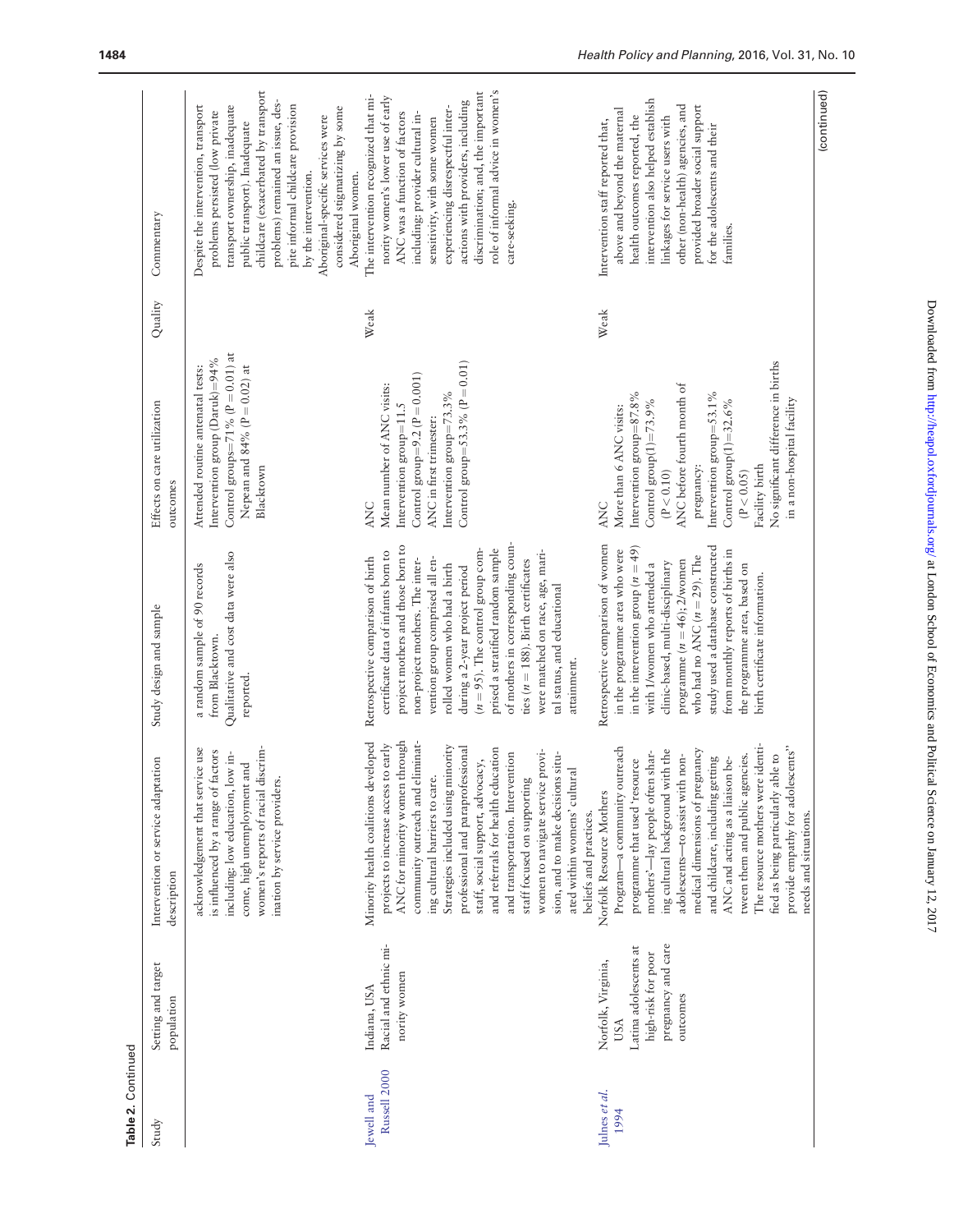| Table 2. Continued         |                                                                                                                   |                                                                                                                                                                                                                                                                                                                                                                                                                                                                                                                                                       |                                                                                                                                                                                                                                                                                                                                                                                                                                                                                                    |                                                                                                                                                                                                                                                                                                                              |         |                                                                                                                                                                                                                                                                                                                                                                            |
|----------------------------|-------------------------------------------------------------------------------------------------------------------|-------------------------------------------------------------------------------------------------------------------------------------------------------------------------------------------------------------------------------------------------------------------------------------------------------------------------------------------------------------------------------------------------------------------------------------------------------------------------------------------------------------------------------------------------------|----------------------------------------------------------------------------------------------------------------------------------------------------------------------------------------------------------------------------------------------------------------------------------------------------------------------------------------------------------------------------------------------------------------------------------------------------------------------------------------------------|------------------------------------------------------------------------------------------------------------------------------------------------------------------------------------------------------------------------------------------------------------------------------------------------------------------------------|---------|----------------------------------------------------------------------------------------------------------------------------------------------------------------------------------------------------------------------------------------------------------------------------------------------------------------------------------------------------------------------------|
| Study                      | Setting and target<br>population                                                                                  | Intervention or service adaptation<br>description                                                                                                                                                                                                                                                                                                                                                                                                                                                                                                     | Study design and sample                                                                                                                                                                                                                                                                                                                                                                                                                                                                            | Effects on care utilization<br>outcomes                                                                                                                                                                                                                                                                                      | Quality | Commentary                                                                                                                                                                                                                                                                                                                                                                 |
|                            |                                                                                                                   | women's reports of racial discrim-<br>acknowledgement that service use<br>factors<br>including: low education, low in-<br>come, high unemployment and<br>ination by service providers.<br>is influenced by a range of                                                                                                                                                                                                                                                                                                                                 | Qualitative and cost data were also<br>a random sample of 90 records<br>from Blacktown.<br>reported.                                                                                                                                                                                                                                                                                                                                                                                               | Control groups=71% ( $P = 0.01$ ) at<br>Intervention group (Daruk)=94%<br>Attended routine antenatal tests:<br>Nepean and $84\%$ (P = 0.02) at<br>Blacktown                                                                                                                                                                  |         | childcare (exacerbated by transport<br>problems) remained an issue, des-<br>Despite the intervention, transport<br>transport ownership, inadequate<br>pite informal childcare provision<br>considered stigmatizing by some<br>problems persisted (low private<br>Aboriginal-specific services were<br>public transport). Inadequate<br>by the intervention.                |
| Russell 2000<br>Jewell and | Racial and ethnic mi-<br>nority women<br>Indiana, USA                                                             | Minority health coalitions developed<br>through<br>eliminat-<br>projects to increase access to early<br>Strategies included using minority<br>professional and paraprofessional<br>and referrals for health education<br>women to navigate service provi-<br>and transportation. Intervention<br>sion, and to make decisions situ-<br>staff, social support, advocacy,<br>ated within womens' cultural<br>staff focused on supporting<br>ing cultural barriers to care.<br>ANC for minority women<br>community outreach and<br>beliefs and practices. | of mothers in corresponding coun-<br>project mothers and those born to<br>prised a stratified random sample<br>$(n = 95)$ . The control group com-<br>were matched on race, age, mari-<br>certificate data of infants born to<br>Retrospective comparison of birth<br>non-project mothers. The inter-<br>vention group comprised all en-<br>ties ( $n = 188$ ). Birth certificates<br>rolled women who had a birth<br>during a 2-year project period<br>tal status, and educational<br>attainment. | Control group=53.3% ( $P = 0.01$ )<br>Control group=9.2 ( $P = 0.001$ )<br>Mean number of ANC visits:<br>Intervention group= $73.3\%$<br>Intervention group=11.5<br>ANC in first trimester:<br><b>ANC</b>                                                                                                                    | Weak    | role of informal advice in women's<br>discrimination; and, the important<br>The intervention recognized that mi-<br>nority women's lower use of early<br>actions with providers, including<br>experiencing disrespectful inter-<br>ANC was a function of factors<br>including: provider cultural in-<br>sensitivity, with some women<br>Aboriginal women.<br>care-seeking. |
| Julnes et al.<br>1994      | pregnancy and care<br>Latina adolescents at<br>high-risk for poor<br>Norfolk, Virginia,<br>outcomes<br><b>USA</b> | The resource mothers were identi-<br>provide empathy for adolescents"<br>Program-a community outreach<br>medical dimensions of pregnancy<br>ing cultural background with the<br>mothers'-lay people often shar-<br>adolescents-to assist with non-<br>tween them and public agencies.<br>fied as being particularly able to<br>and childcare, including getting<br>ANC and acting as a liaison be-<br>programme that used 'resource<br>Norfolk Resource Mothers                                                                                       | Retrospective comparison of women<br>study used a database constructed<br>in the intervention group ( $n = 49$ )<br>in the programme area who were<br>from monthly reports of births in<br>who had no ANC ( $n = 29$ ). The<br>programme $(n = 46)$ ; 2/women<br>clinic-based, multi-disciplinary<br>with 1/women who attended a<br>the programme area, based on<br>birth certificate information.                                                                                                 | No significant difference in births<br>ANC before fourth month of<br>Intervention group=87.8%<br>Intervention group= $53.1\%$<br>in a non-hospital facility<br>Control group $(1)$ =73.9%<br>Control group $(1)=32.6\%$<br>More than 6 ANC visits:<br>Facility birth<br>pregnancy:<br>(P < 0.05)<br>(P < 0.10)<br><b>ANC</b> | Weak    | intervention also helped establish<br>other (non-health) agencies, and<br>provided broader social support<br>above and beyond the maternal<br>linkages for service users with<br>health outcomes reported, the<br>Intervention staff reported that,<br>for the adolescents and their<br>families                                                                           |
|                            |                                                                                                                   | needs and situations                                                                                                                                                                                                                                                                                                                                                                                                                                                                                                                                  |                                                                                                                                                                                                                                                                                                                                                                                                                                                                                                    |                                                                                                                                                                                                                                                                                                                              |         | (continued)                                                                                                                                                                                                                                                                                                                                                                |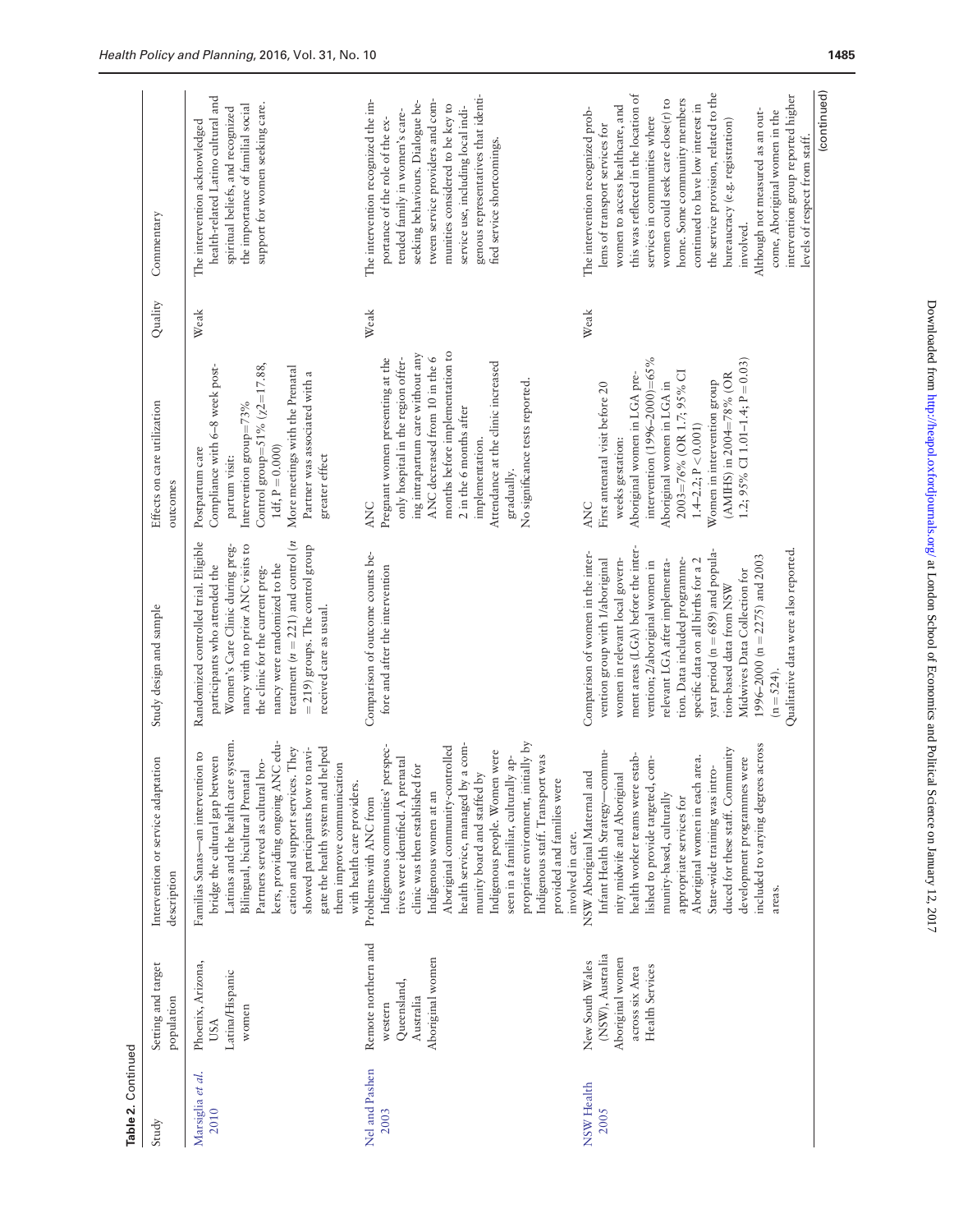| Table 2. Continued       |                                                                                               |                                                                                                                                                                                                                                                                                                                                                                                                                                                               |                                                                                                                                                                                                                                                                                                                                                                                                                                                                                     |                                                                                                                                                                                                                                                                                                                                 |         |                                                                                                                                                                                                                                                                                                                                                                                                                                                                                                |
|--------------------------|-----------------------------------------------------------------------------------------------|---------------------------------------------------------------------------------------------------------------------------------------------------------------------------------------------------------------------------------------------------------------------------------------------------------------------------------------------------------------------------------------------------------------------------------------------------------------|-------------------------------------------------------------------------------------------------------------------------------------------------------------------------------------------------------------------------------------------------------------------------------------------------------------------------------------------------------------------------------------------------------------------------------------------------------------------------------------|---------------------------------------------------------------------------------------------------------------------------------------------------------------------------------------------------------------------------------------------------------------------------------------------------------------------------------|---------|------------------------------------------------------------------------------------------------------------------------------------------------------------------------------------------------------------------------------------------------------------------------------------------------------------------------------------------------------------------------------------------------------------------------------------------------------------------------------------------------|
| Study                    | Setting and target<br>population                                                              | Intervention or service adaptation<br>description                                                                                                                                                                                                                                                                                                                                                                                                             | Study design and sample                                                                                                                                                                                                                                                                                                                                                                                                                                                             | Effects on care utilization<br>outcomes                                                                                                                                                                                                                                                                                         | Quality | Commentary                                                                                                                                                                                                                                                                                                                                                                                                                                                                                     |
| Marsiglia et al.<br>2010 | Phoenix, Arizona,<br>Latina/Hispanic<br>women<br>USA                                          | kers, providing ongoing ANC edu-<br>Latinas and the health care system.<br>They<br>showed participants how to navi-<br>gate the health system and helped<br>Familias Sanas-an intervention to<br>bridge the cultural gap between<br>Partners served as cultural bro-<br>them improve communication<br>Bilingual, bicultural Prenatal<br>cation and support services.<br>with health care providers.                                                           | treatment ( $n = 221$ ) and control ( $n$<br>Randomized controlled trial. Eligible<br>nancy with no prior ANC visits to<br>$=$ 219) groups. The control group<br>Women's Care Clinic during preg-<br>nancy were randomized to the<br>participants who attended the<br>the clinic for the current preg-<br>received care as usual.                                                                                                                                                   | Control group=51% $(\chi2=17.88,$<br>Compliance with 6-8 week post-<br>More meetings with the Prenatal<br>Partner was associated with a<br>Intervention group=73%<br>1df, $P = 0.000$ )<br>Postpartum care<br>greater effect<br>partum visit:                                                                                   | Weak    | health-related Latino cultural and<br>support for women seeking care.<br>the importance of familial social<br>spiritual beliefs, and recognized<br>The intervention acknowledged                                                                                                                                                                                                                                                                                                               |
| Nel and Pashen<br>2003   | Remote northern and<br>Aboriginal women<br>Queensland,<br>Australia<br>western                | propriate environment, initially by<br>a com-<br>Aboriginal community-controlled<br>Indigenous communities' perspec-<br>Indigenous people. Women were<br>was<br>tives were identified. A prenatal<br>' ap-<br>clinic was then established for<br>munity board and staffed by<br>seen in a familiar, culturally<br>Indigenous staff. Transport<br>provided and families were<br>health service, managed by<br>Indigenous women at an<br>Problems with ANC from | Comparison of outcome counts be-<br>fore and after the intervention                                                                                                                                                                                                                                                                                                                                                                                                                 | ing intrapartum care without any<br>months before implementation to<br>ANC decreased from 10 in the 6<br>only hospital in the region offer-<br>Pregnant women presenting at the<br>Attendance at the clinic increased<br>No significance tests reported.<br>2 in the 6 months after<br>implementation.<br>gradually.<br>ANC     | Weak    | genous representatives that identi-<br>The intervention recognized the im-<br>tween service providers and com-<br>seeking behaviours. Dialogue be-<br>munities considered to be key to<br>service use, including local indi-<br>tended family in women's care-<br>portance of the role of the ex-<br>fied service shortcomings.                                                                                                                                                                |
| NSW Health<br>2005       | (NSW), Australia<br>Aboriginal women<br>New South Wales<br>Health Services<br>across six Area | included to varying degrees across<br>duced for these staff. Community<br>Infant Health Strategy-commu-<br>health worker teams were estab-<br>Aboriginal women in each area.<br>development programmes were<br>lished to provide targeted, com-<br>State-wide training was intro-<br>nity midwife and Aboriginal<br>NSW Aboriginal Maternal and<br>munity-based, culturally<br>appropriate services for<br>involved in care.<br>areas.                        | ment areas (LGA) before the inter-<br>Qualitative data were also reported<br>year period (n = 689) and popula-<br>Comparison of women in the inter-<br>1996–2000 (n = 2275) and 2003<br>women in relevant local govern-<br>vention group with 1/aboriginal<br>tion. Data included programme-<br>relevant LGA after implementa-<br>specific data on all births for a 2<br>vention; 2/aboriginal women in<br>Midwives Data Collection for<br>tion-based data from NSW<br>$(n = 524).$ | intervention $(1996 - 2000) = 65\%$<br>1.2; 95% CI 1.01-1.4; $P = 0.03$<br>2003=76% (OR 1.7; 95% CI<br>(AMIHS) in 2004=78% (OR<br>Aboriginal women in LGA pre-<br>Women in intervention group<br>Aboriginal women in LGA in<br>First antenatal visit before 20<br>$1.4 - 2.2$ ; $P < 0.001$ )<br>weeks gestation:<br><b>ANC</b> | Weak    | the service provision, related to the<br>this was reflected in the location of<br>intervention group reported higher<br>home. Some community members<br>women could seek care close(r) to<br>continued to have low interest in<br>women to access healthcare, and<br>The intervention recognized prob-<br>Although not measured as an out-<br>come, Aboriginal women in the<br>services in communities where<br>bureaucracy (e.g. registration)<br>lems of transport services for<br>involved. |
|                          |                                                                                               |                                                                                                                                                                                                                                                                                                                                                                                                                                                               |                                                                                                                                                                                                                                                                                                                                                                                                                                                                                     |                                                                                                                                                                                                                                                                                                                                 |         | (continued)<br>levels of respect from staff.                                                                                                                                                                                                                                                                                                                                                                                                                                                   |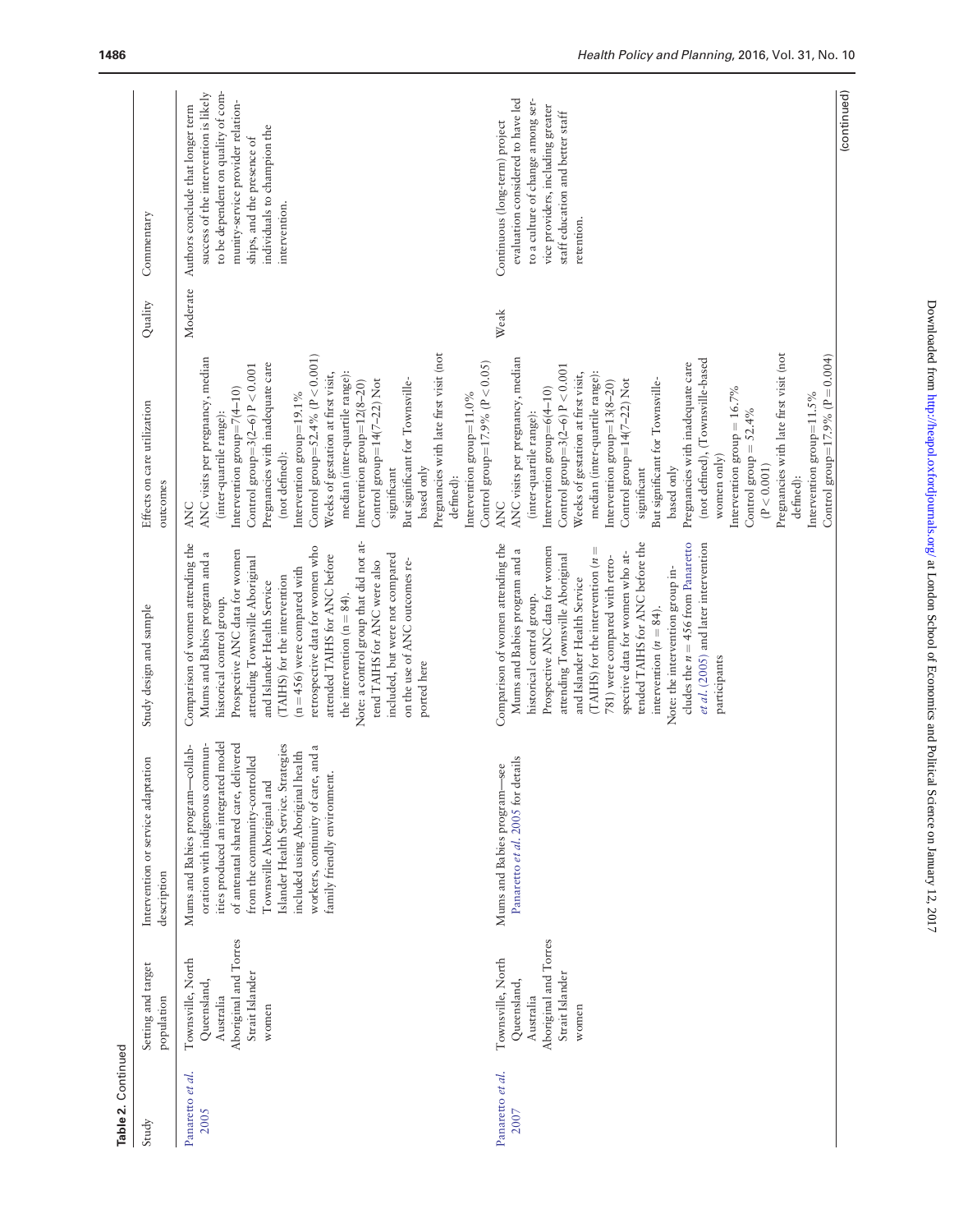| Table 2. Continued       |                                                                                                    |                                                                                                                                                                                                                                                                                                                                                                    |                                                                                                                                                                                                                                                                                                                                                                                                                                                                                                                                         |                                                                                                                                                                                                                                                                                                                                                                                                                                                                                                                                                                                                                                                 |          |                                                                                                                                                                                                                                     |
|--------------------------|----------------------------------------------------------------------------------------------------|--------------------------------------------------------------------------------------------------------------------------------------------------------------------------------------------------------------------------------------------------------------------------------------------------------------------------------------------------------------------|-----------------------------------------------------------------------------------------------------------------------------------------------------------------------------------------------------------------------------------------------------------------------------------------------------------------------------------------------------------------------------------------------------------------------------------------------------------------------------------------------------------------------------------------|-------------------------------------------------------------------------------------------------------------------------------------------------------------------------------------------------------------------------------------------------------------------------------------------------------------------------------------------------------------------------------------------------------------------------------------------------------------------------------------------------------------------------------------------------------------------------------------------------------------------------------------------------|----------|-------------------------------------------------------------------------------------------------------------------------------------------------------------------------------------------------------------------------------------|
| Study                    | Setting and target<br>population                                                                   | Intervention or service adaptation<br>description                                                                                                                                                                                                                                                                                                                  | Study design and sample                                                                                                                                                                                                                                                                                                                                                                                                                                                                                                                 | Effects on care utilization<br>outcomes                                                                                                                                                                                                                                                                                                                                                                                                                                                                                                                                                                                                         | Quality  | Commentary                                                                                                                                                                                                                          |
| Panaretto et al.<br>2005 | Aboriginal and Torres<br>Townsville, North<br>Strait Islander<br>Queensland,<br>Australia<br>women | ities produced an integrated model<br>of antenatal shared care, delivered<br>oration with indigenous commun-<br>Islander Health Service. Strategies<br>workers, continuity of care, and a<br>collab-<br>included using Aboriginal health<br>from the community-controlled<br>family friendly environment.<br>Townsville Aboriginal and<br>Mums and Babies program- | Note: a control group that did not at-<br>Comparison of women attending the<br>retrospective data for women who<br>Prospective ANC data for women<br>Mums and Babies program and a<br>included, but were not compared<br>attended TAIHS for ANC before<br>attending Townsville Aboriginal<br>on the use of ANC outcomes re-<br>tend TAIHS for ANC were also<br>$(n=456)$ were compared with<br>(TAIHS) for the intervention<br>and Islander Health Service<br>the intervention $(n = 84)$ .<br>historical control group.<br>ported here | Pregnancies with late first visit (not<br>Control group= $52.4\%$ ( $P < 0.001$ )<br>ANC visits per pregnancy, median<br>Control group= $17.9\%$ ( $P < 0.05$ )<br>Pregnancies with inadequate care<br>Control group= $3(2-6)$ P $< 0.001$<br>median (inter-quartile range):<br>Weeks of gestation at first visit,<br>Control group=14(7-22) Not<br>But significant for Townsville-<br>Intervention $group=12(8-20)$<br>Intervention $group = 7(4-10)$<br>Intervention group=19.1%<br>Intervention group= $11.0\%$<br>(inter-quartile range):<br>(not defined):<br>based only<br>significant<br>defined):<br><b>ANC</b>                         | Moderate | to be dependent on quality of com-<br>success of the intervention is likely<br>munity-service provider relation-<br>Authors conclude that longer term<br>individuals to champion the<br>ships, and the presence of<br>intervention. |
| Panaretto et al.<br>2007 | Aboriginal and Torres<br>Townsville, North<br>Strait Islander<br>Queensland,<br>Australia<br>women | Panaretto et al. 2005 for details<br>-see<br>Mums and Babies program-                                                                                                                                                                                                                                                                                              | tended TAIHS for ANC before the<br>cludes the $n = 456$ from Panaretto<br>Comparison of women attending the<br>et al. (2005) and later intervention<br>Prospective ANC data for women<br>(TAIHS) for the intervention $(n =$<br>Mums and Babies program and a<br>spective data for women who at-<br>attending Townsville Aboriginal<br>781) were compared with retro-<br>Note: the intervention group in-<br>and Islander Health Service<br>historical control group.<br>intervention ( $n = 84$ ).<br>participants                     | Pregnancies with late first visit (not<br>Control group= $17.9\%$ (P = 0.004)<br>ANC visits per pregnancy, median<br>(not defined), (Townsville-based<br>Pregnancies with inadequate care<br>Control group= $3(2-6)$ P < 0.001<br>median (inter-quartile range):<br>Weeks of gestation at first visit,<br>Control group=14(7-22) Not<br>But significant for Townsville-<br>Intervention $group=13(8-20)$<br>Intervention $group=6(4-10)$<br>Intervention group = $16.7\%$<br>Intervention group= $11.5\%$<br>Control group = $52.4\%$<br>(inter-quartile range):<br>women only)<br>(P < 0.001)<br>based only<br>significant<br>defined):<br>ANC | Weak     | evaluation considered to have led<br>to a culture of change among ser-<br>vice providers, including greater<br>staff education and better staff<br>Continuous (long-term) project<br>retention.                                     |
|                          |                                                                                                    |                                                                                                                                                                                                                                                                                                                                                                    |                                                                                                                                                                                                                                                                                                                                                                                                                                                                                                                                         |                                                                                                                                                                                                                                                                                                                                                                                                                                                                                                                                                                                                                                                 |          | (continued)                                                                                                                                                                                                                         |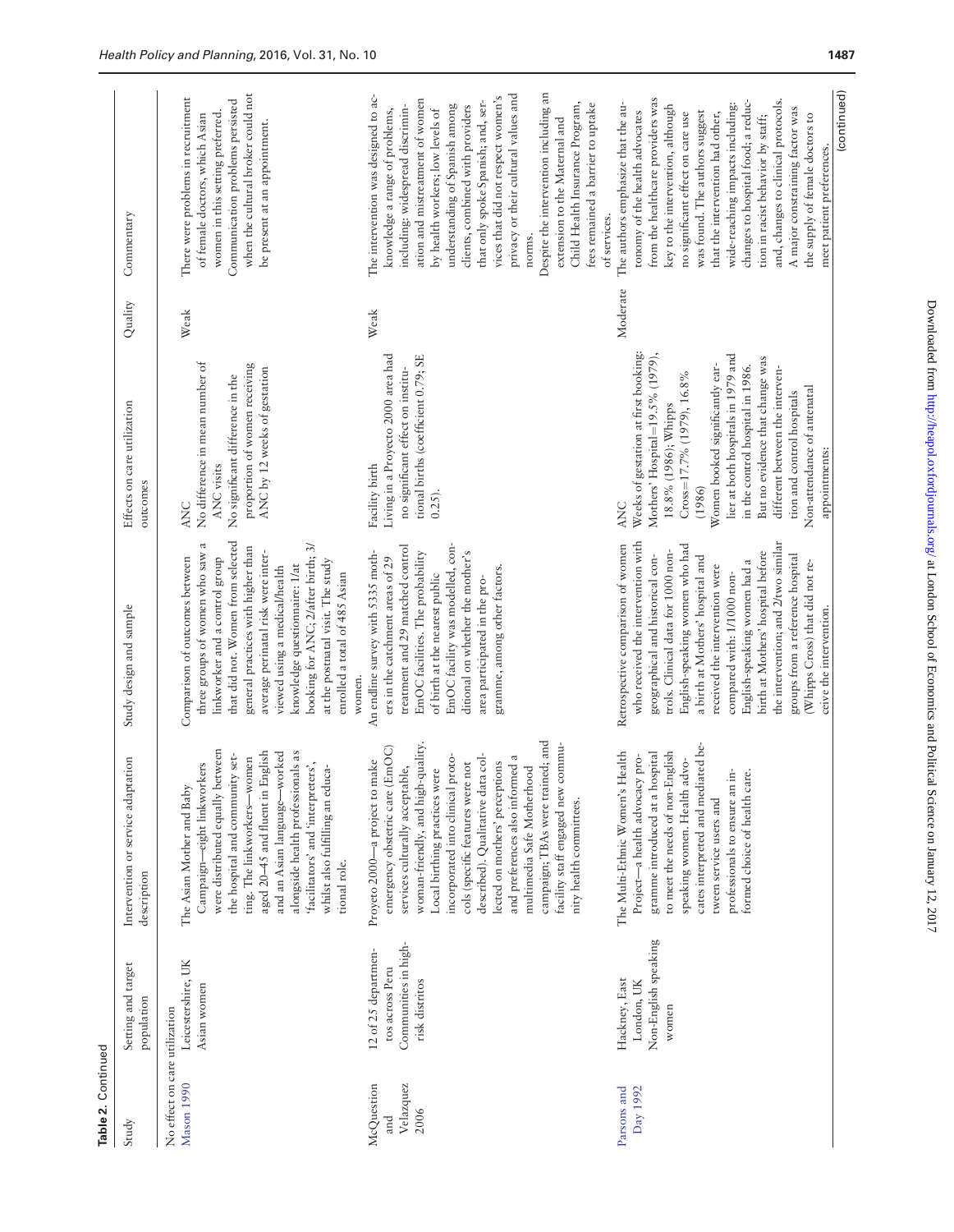| Study                                       | Setting and target<br>population                                                 | Intervention or service adaptation<br>description                                                                                                                                                                                                                                                                                                                                                                                                                                                        | Study design and sample                                                                                                                                                                                                                                                                                                                                                                                                                                                                               | Effects on care utilization<br>outcomes                                                                                                                                                                                                                                                                                                                                                                           | Quality  | Commentary                                                                                                                                                                                                                                                                                                                                                                                                                                                                                                                                        |
|---------------------------------------------|----------------------------------------------------------------------------------|----------------------------------------------------------------------------------------------------------------------------------------------------------------------------------------------------------------------------------------------------------------------------------------------------------------------------------------------------------------------------------------------------------------------------------------------------------------------------------------------------------|-------------------------------------------------------------------------------------------------------------------------------------------------------------------------------------------------------------------------------------------------------------------------------------------------------------------------------------------------------------------------------------------------------------------------------------------------------------------------------------------------------|-------------------------------------------------------------------------------------------------------------------------------------------------------------------------------------------------------------------------------------------------------------------------------------------------------------------------------------------------------------------------------------------------------------------|----------|---------------------------------------------------------------------------------------------------------------------------------------------------------------------------------------------------------------------------------------------------------------------------------------------------------------------------------------------------------------------------------------------------------------------------------------------------------------------------------------------------------------------------------------------------|
| No effect on care utilization<br>Mason 1990 | Leicestershire, UK<br>Asian women                                                | were distributed equally between<br>aged 20-45 and fluent in English<br>alongside health professionals as<br>and an Asian language—worked<br>the hospital and community set-<br>ting. The linkworkers-women<br>'facilitators' and 'interpreters',<br>Campaign-eight linkworkers<br>whilst also fulfilling an educa-<br>The Asian Mother and Baby<br>tional role.                                                                                                                                         | that did not. Women from selected<br>three groups of women who saw a<br>booking for ANC; 2/after birth; 3/<br>general practices with higher than<br>average perinatal risk were inter-<br>Comparison of outcomes between<br>linkworker and a control group<br>at the postnatal visit. The study<br>knowledge questionnaire: 1/at<br>viewed using a medical/health<br>enrolled a total of 485 Asian                                                                                                    | No difference in mean number of<br>proportion of women receiving<br>ANC by 12 weeks of gestation<br>No significant difference in the<br><b>ANC</b> visits<br>ANC                                                                                                                                                                                                                                                  | Weak     | when the cultural broker could not<br>There were problems in recruitment<br>Communication problems persisted<br>women in this setting preferred.<br>of female doctors, which Asian<br>be present at an appointment.                                                                                                                                                                                                                                                                                                                               |
| McQuestion<br>Velazquez<br>2006<br>and      | Communities in high-<br>12 of 25 departmen-<br>tos across Peru<br>risk distritos | campaign; TBAs were trained; and<br>woman-friendly, and high-quality.<br>commu-<br>(EmOC)<br>incorporated into clinical proto-<br>described). Qualitative data col-<br>and preferences also informed a<br>make<br>cols (specific features were not<br>lected on mothers' perceptions<br>multimedia Safe Motherhood<br>Local birthing practices were<br>services culturally acceptable,<br>facility staff engaged new<br>Proyeto 2000-a project to<br>emergency obstetric care<br>nity health committees. | EmOC facility was modelled, con-<br>treatment and 29 matched control<br>An endline survey with 5335 moth-<br>ditional on whether the mother's<br>EmOC facilities. The probability<br>ers in the catchment areas of 29<br>gramme, among other factors.<br>of birth at the nearest public<br>area participated in the pro-<br>women.                                                                                                                                                                    | Living in a Proyecto 2000 area had<br>tional births (coefficient 0.79; SE<br>no significant effect on institu-<br>Facility birth<br>$0.25$ ).                                                                                                                                                                                                                                                                     | Weak     | Despite the intervention including an<br>privacy or their cultural values and<br>The intervention was designed to ac-<br>vices that did not respect women's<br>ation and mistreatment of women<br>that only spoke Spanish; and, ser-<br>Child Health Insurance Program,<br>understanding of Spanish among<br>fees remained a barrier to uptake<br>clients, combined with providers<br>including: widespread discrimin-<br>knowledge a range of problems,<br>by health workers; low levels of<br>extension to the Maternal and<br>norms.           |
| Parsons and<br>Day 1992                     | Non-English speaking<br>Hackney, East<br>London, UK<br>women                     | cates interpreted and mediated be-<br>to meet the needs of non-English<br>gramme introduced at a hospital<br>The Multi-Ethnic Women's Health<br>Project-a health advocacy pro-<br>speaking women. Health advo-<br>professionals to ensure an in-<br>formed choice of health care.<br>tween service users and                                                                                                                                                                                             | the intervention; and 2/two similar<br>who received the intervention with<br>Retrospective comparison of women<br>English-speaking women who had<br>trols. Clinical data for 1000 non-<br>birth at Mothers' hospital before<br>groups from a reference hospital<br>geographical and historical con-<br>a birth at Mothers' hospital and<br>English-speaking women had a<br>(Whipps Cross) that did not re-<br>received the intervention were<br>compared with: 1/1000 non-<br>ceive the intervention. | Weeks of gestation at first booking:<br>lier at both hospitals in 1979 and<br>Mothers' Hospital=19.5% (1979),<br>But no evidence that change was<br>Women booked significantly ear-<br>in the control hospital in 1986.<br>different between the interven-<br>$Cross=17.7\%$ (1979), 16.8%<br>Non-attendance of antenatal<br>tion and control hospitals<br>18.8% (1986); Whipps<br>appointments:<br>(1986)<br>ANC | Moderate | (continued)<br>from the healthcare providers was<br>and, changes to clinical protocols.<br>changes to hospital food; a reduc-<br>The authors emphasize that the au-<br>key to the intervention, although<br>wide-reaching impacts including:<br>A major constraining factor was<br>was found. The authors suggest<br>tonomy of the health advocates<br>that the intervention had other,<br>no significant effect on care use<br>tion in racist behavior by staff;<br>the supply of female doctors to<br>meet patient preferences.<br>of services. |

Table 2. Continued

Table 2. Continued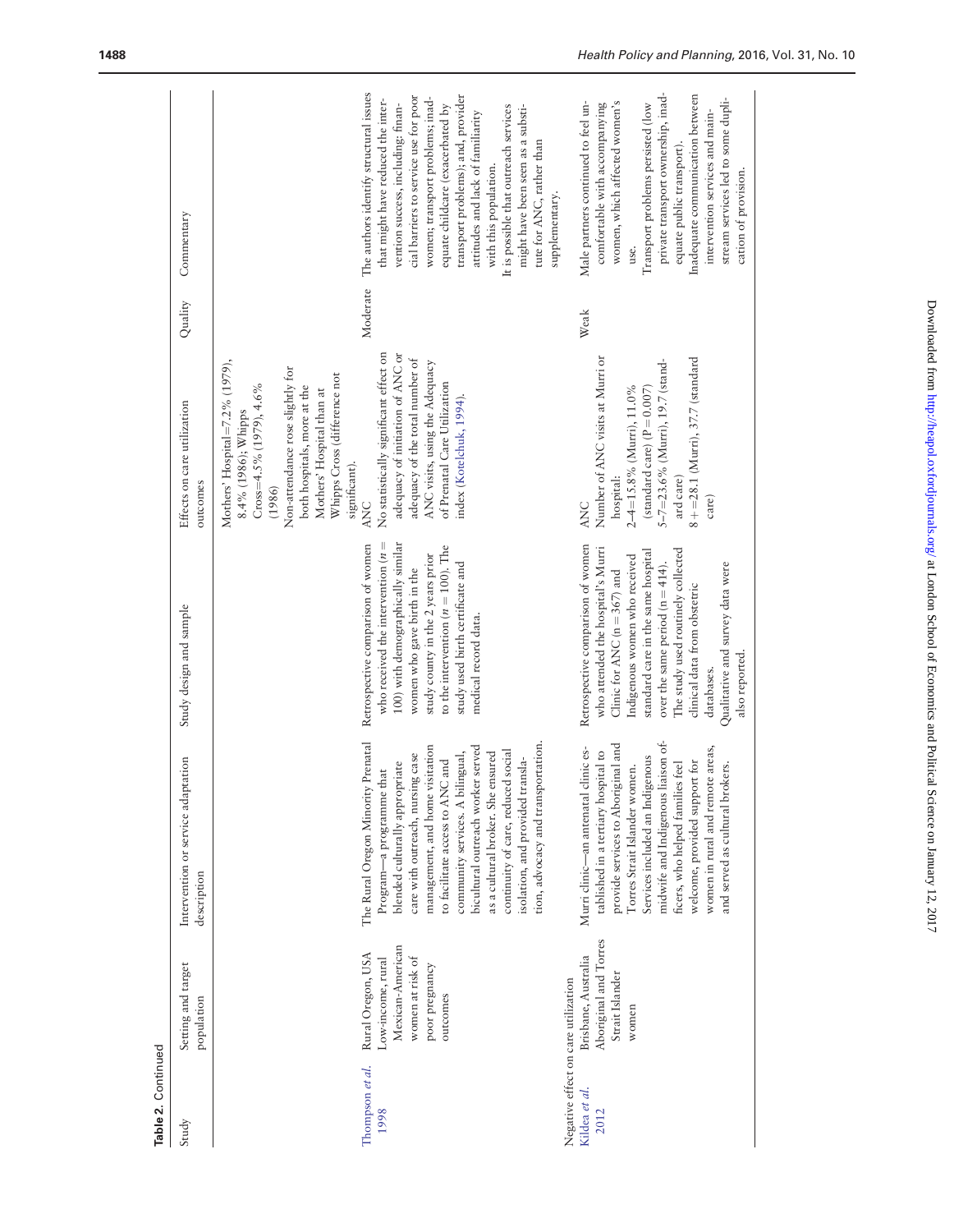| Commentary                                        | The authors identify structural issues<br>transport problems); and, provider<br>cial barriers to service use for poor<br>women; transport problems; inad-<br>that might have reduced the inter-<br>equate childcare (exacerbated by<br>vention success, including: finan-<br>It is possible that outreach services<br>might have been seen as a substi-<br>attitudes and lack of familiarity<br>tute for ANC, rather than<br>with this population.<br>supplementary.        | private transport ownership, inad-<br>Inadequate communication between<br>stream services led to some dupli-<br>women, which affected women's<br>Male partners continued to feel un-<br>comfortable with accompanying<br>Transport problems persisted (low<br>intervention services and main-<br>equate public transport).<br>cation of provision.<br>use.              |
|---------------------------------------------------|-----------------------------------------------------------------------------------------------------------------------------------------------------------------------------------------------------------------------------------------------------------------------------------------------------------------------------------------------------------------------------------------------------------------------------------------------------------------------------|-------------------------------------------------------------------------------------------------------------------------------------------------------------------------------------------------------------------------------------------------------------------------------------------------------------------------------------------------------------------------|
| Quality                                           | Moderate                                                                                                                                                                                                                                                                                                                                                                                                                                                                    | Weak                                                                                                                                                                                                                                                                                                                                                                    |
| Effects on care utilization<br>outcomes           | No statistically significant effect on<br>adequacy of initiation of ANC or<br>adequacy of the total number of<br>Mothers' Hospital= $7.2\%$ (1979),<br>ANC visits, using the Adequacy<br>Non-attendance rose slightly for<br>Whipps Cross (difference not<br>of Prenatal Care Utilization<br>$Cross=4.5\%$ (1979), $4.6\%$<br>both hospitals, more at the<br>Mothers' Hospital than at<br>index (Kotelchuk, 1994).<br>8.4% (1986); Whipps<br>significant).<br>(1986)<br>ANC | Number of ANC visits at Murri or<br>$8 + =28.1$ (Murri), $37.7$ (standard<br>5–7=23.6% (Murri), 19.7 (stand-<br>2-4=15.8% (Murri), 11.0%<br>(standard care) $(P = 0.007)$<br>hospital:<br>ard care)<br>care)<br>ANC                                                                                                                                                     |
| Study design and sample                           | who received the intervention ( $n =$<br>100) with demographically similar<br>Retrospective comparison of women<br>to the intervention ( $n = 100$ ). The<br>study county in the 2 years prior<br>study used birth certificate and<br>women who gave birth in the<br>medical record data.                                                                                                                                                                                   | Retrospective comparison of women<br>who attended the hospital's Murri<br>The study used routinely collected<br>standard care in the same hospital<br>Indigenous women who received<br>over the same period ( $n = 414$ ).<br>Qualitative and survey data were<br>Clinic for ANC ( $n = 367$ ) and<br>clinical data from obstetric<br>also reported.<br>databases.      |
| Intervention or service adaptation<br>description | The Rural Oregon Minority Prenatal<br>tion, advocacy and transportation.<br>management, and home visitation<br>bicultural outreach worker served<br>continuity of care, reduced social<br>community services. A bilingual,<br>as a cultural broker. She ensured<br>care with outreach, nursing case<br>isolation, and provided transla-<br>to facilitate access to ANC and<br>blended culturally appropriate<br>Program-a programme that                                    | midwife and Indigenous liaison of-<br>provide services to Aboriginal and<br>women in rural and remote areas,<br>Murri clinic-an antenatal clinic es-<br>tablished in a tertiary hospital to<br>Services included an Indigenous<br>welcome, provided support for<br>ficers, who helped families feel<br>and served as cultural brokers.<br>Torres Strait Islander women. |
| Setting and target<br>population                  | Mexican-American<br>Rural Oregon, USA<br>women at risk of<br>Low-income, rural<br>poor pregnancy<br>outcomes                                                                                                                                                                                                                                                                                                                                                                | Aboriginal and Torres<br>Brisbane, Australia<br>Strait Islander<br>women                                                                                                                                                                                                                                                                                                |
| Study                                             | Thompson et al.<br>1998                                                                                                                                                                                                                                                                                                                                                                                                                                                     | Negative effect on care utilization<br>Kildea et al.<br>2012                                                                                                                                                                                                                                                                                                            |

Table 2. Continued<br>Study<br>Study Table 2. Continued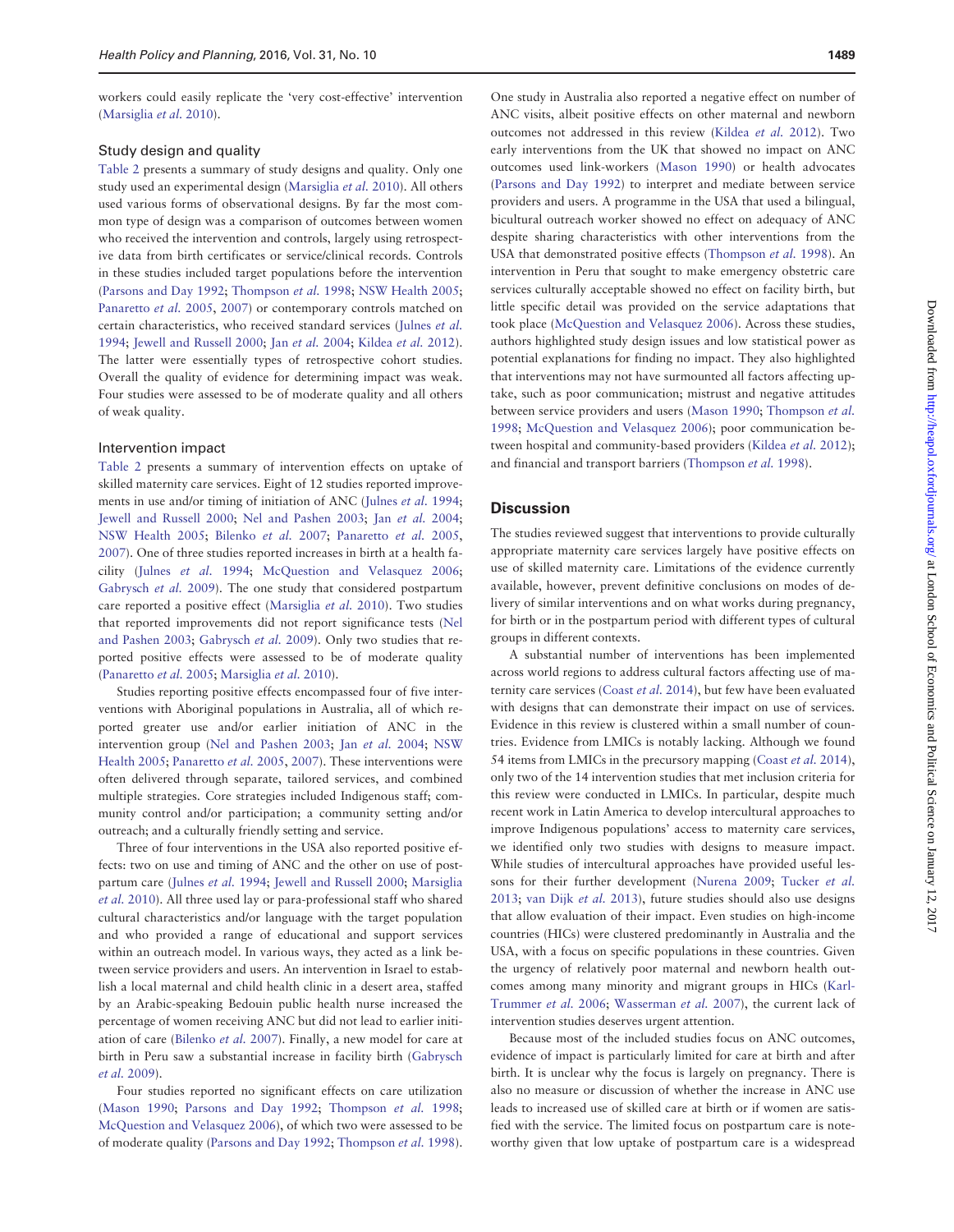workers could easily replicate the 'very cost-effective' intervention ([Marsiglia](#page-13-0) et al. 2010).

#### Study design and quality

[Table 2](#page-5-0) presents a summary of study designs and quality. Only one study used an experimental design [\(Marsiglia](#page-13-0) et al. 2010). All others used various forms of observational designs. By far the most common type of design was a comparison of outcomes between women who received the intervention and controls, largely using retrospective data from birth certificates or service/clinical records. Controls in these studies included target populations before the intervention ([Parsons and Day 1992](#page-13-0); [Thompson](#page-13-0) et al. 1998; [NSW Health 2005;](#page-13-0) [Panaretto](#page-13-0) et al. 2005, [2007](#page-13-0)) or contemporary controls matched on certain characteristics, who received standard services [\(Julnes](#page-13-0) et al. [1994;](#page-13-0) [Jewell and Russell 2000;](#page-13-0) Jan et al. [2004](#page-13-0); [Kildea](#page-13-0) et al. 2012). The latter were essentially types of retrospective cohort studies. Overall the quality of evidence for determining impact was weak. Four studies were assessed to be of moderate quality and all others of weak quality.

#### Intervention impact

[Table 2](#page-5-0) presents a summary of intervention effects on uptake of skilled maternity care services. Eight of 12 studies reported improve-ments in use and/or timing of initiation of ANC [\(Julnes](#page-13-0) et al. 1994; [Jewell and Russell 2000](#page-13-0); [Nel and Pashen 2003;](#page-13-0) Jan [et al.](#page-13-0) 2004; [NSW Health 2005;](#page-13-0) [Bilenko](#page-12-0) et al. 2007; [Panaretto](#page-13-0) et al. 2005, [2007\)](#page-13-0). One of three studies reported increases in birth at a health facility (Julnes [et al.](#page-13-0) 1994; [McQuestion and Velasquez 2006;](#page-13-0) [Gabrysch](#page-13-0) et al. 2009). The one study that considered postpartum care reported a positive effect [\(Marsiglia](#page-13-0) et al. 2010). Two studies that reported improvements did not report significance tests ([Nel](#page-13-0) [and Pashen 2003;](#page-13-0) [Gabrysch](#page-13-0) et al. 2009). Only two studies that reported positive effects were assessed to be of moderate quality ([Panaretto](#page-13-0) et al. 2005; [Marsiglia](#page-13-0) et al. 2010).

Studies reporting positive effects encompassed four of five interventions with Aboriginal populations in Australia, all of which reported greater use and/or earlier initiation of ANC in the intervention group ([Nel and Pashen 2003](#page-13-0); Jan [et al.](#page-13-0) 2004; [NSW](#page-13-0) [Health 2005](#page-13-0); [Panaretto](#page-13-0) et al. 2005, [2007\)](#page-13-0). These interventions were often delivered through separate, tailored services, and combined multiple strategies. Core strategies included Indigenous staff; community control and/or participation; a community setting and/or outreach; and a culturally friendly setting and service.

Three of four interventions in the USA also reported positive effects: two on use and timing of ANC and the other on use of postpartum care [\(Julnes](#page-13-0) et al. 1994; [Jewell and Russell 2000](#page-13-0); [Marsiglia](#page-13-0) et al. [2010\)](#page-13-0). All three used lay or para-professional staff who shared cultural characteristics and/or language with the target population and who provided a range of educational and support services within an outreach model. In various ways, they acted as a link between service providers and users. An intervention in Israel to establish a local maternal and child health clinic in a desert area, staffed by an Arabic-speaking Bedouin public health nurse increased the percentage of women receiving ANC but did not lead to earlier initiation of care [\(Bilenko](#page-12-0) et al. 2007). Finally, a new model for care at birth in Peru saw a substantial increase in facility birth [\(Gabrysch](#page-13-0) et al. [2009](#page-13-0)).

Four studies reported no significant effects on care utilization ([Mason 1990](#page-13-0); [Parsons and Day 1992](#page-13-0); [Thompson](#page-13-0) et al. 1998; [McQuestion and Velasquez 2006](#page-13-0)), of which two were assessed to be of moderate quality [\(Parsons and Day 1992](#page-13-0); [Thompson](#page-13-0) et al. 1998).

One study in Australia also reported a negative effect on number of ANC visits, albeit positive effects on other maternal and newborn outcomes not addressed in this review [\(Kildea](#page-13-0) et al. 2012). Two early interventions from the UK that showed no impact on ANC outcomes used link-workers ([Mason 1990\)](#page-13-0) or health advocates ([Parsons and Day 1992\)](#page-13-0) to interpret and mediate between service providers and users. A programme in the USA that used a bilingual, bicultural outreach worker showed no effect on adequacy of ANC despite sharing characteristics with other interventions from the USA that demonstrated positive effects ([Thompson](#page-13-0) et al. 1998). An intervention in Peru that sought to make emergency obstetric care services culturally acceptable showed no effect on facility birth, but little specific detail was provided on the service adaptations that took place [\(McQuestion and Velasquez 2006](#page-13-0)). Across these studies, authors highlighted study design issues and low statistical power as potential explanations for finding no impact. They also highlighted that interventions may not have surmounted all factors affecting uptake, such as poor communication; mistrust and negative attitudes between service providers and users ([Mason 1990;](#page-13-0) [Thompson](#page-13-0) et al. [1998;](#page-13-0) [McQuestion and Velasquez 2006\)](#page-13-0); poor communication be-tween hospital and community-based providers ([Kildea](#page-13-0) et al. 2012); and financial and transport barriers [\(Thompson](#page-13-0) et al. 1998).

#### **Discussion**

The studies reviewed suggest that interventions to provide culturally appropriate maternity care services largely have positive effects on use of skilled maternity care. Limitations of the evidence currently available, however, prevent definitive conclusions on modes of delivery of similar interventions and on what works during pregnancy, for birth or in the postpartum period with different types of cultural groups in different contexts.

A substantial number of interventions has been implemented across world regions to address cultural factors affecting use of maternity care services ([Coast](#page-13-0) et al. 2014), but few have been evaluated with designs that can demonstrate their impact on use of services. Evidence in this review is clustered within a small number of countries. Evidence from LMICs is notably lacking. Although we found 54 items from LMICs in the precursory mapping [\(Coast](#page-13-0) *et al.* 2014), only two of the 14 intervention studies that met inclusion criteria for this review were conducted in LMICs. In particular, despite much recent work in Latin America to develop intercultural approaches to improve Indigenous populations' access to maternity care services, we identified only two studies with designs to measure impact. While studies of intercultural approaches have provided useful lessons for their further development [\(Nurena 2009](#page-13-0); [Tucker](#page-13-0) et al. [2013;](#page-13-0) [van Dijk](#page-13-0) et al. 2013), future studies should also use designs that allow evaluation of their impact. Even studies on high-income countries (HICs) were clustered predominantly in Australia and the USA, with a focus on specific populations in these countries. Given the urgency of relatively poor maternal and newborn health outcomes among many minority and migrant groups in HICs [\(Karl-](#page-13-0)[Trummer](#page-13-0) et al. 2006; [Wasserman](#page-13-0) et al. 2007), the current lack of intervention studies deserves urgent attention.

Because most of the included studies focus on ANC outcomes, evidence of impact is particularly limited for care at birth and after birth. It is unclear why the focus is largely on pregnancy. There is also no measure or discussion of whether the increase in ANC use leads to increased use of skilled care at birth or if women are satisfied with the service. The limited focus on postpartum care is noteworthy given that low uptake of postpartum care is a widespread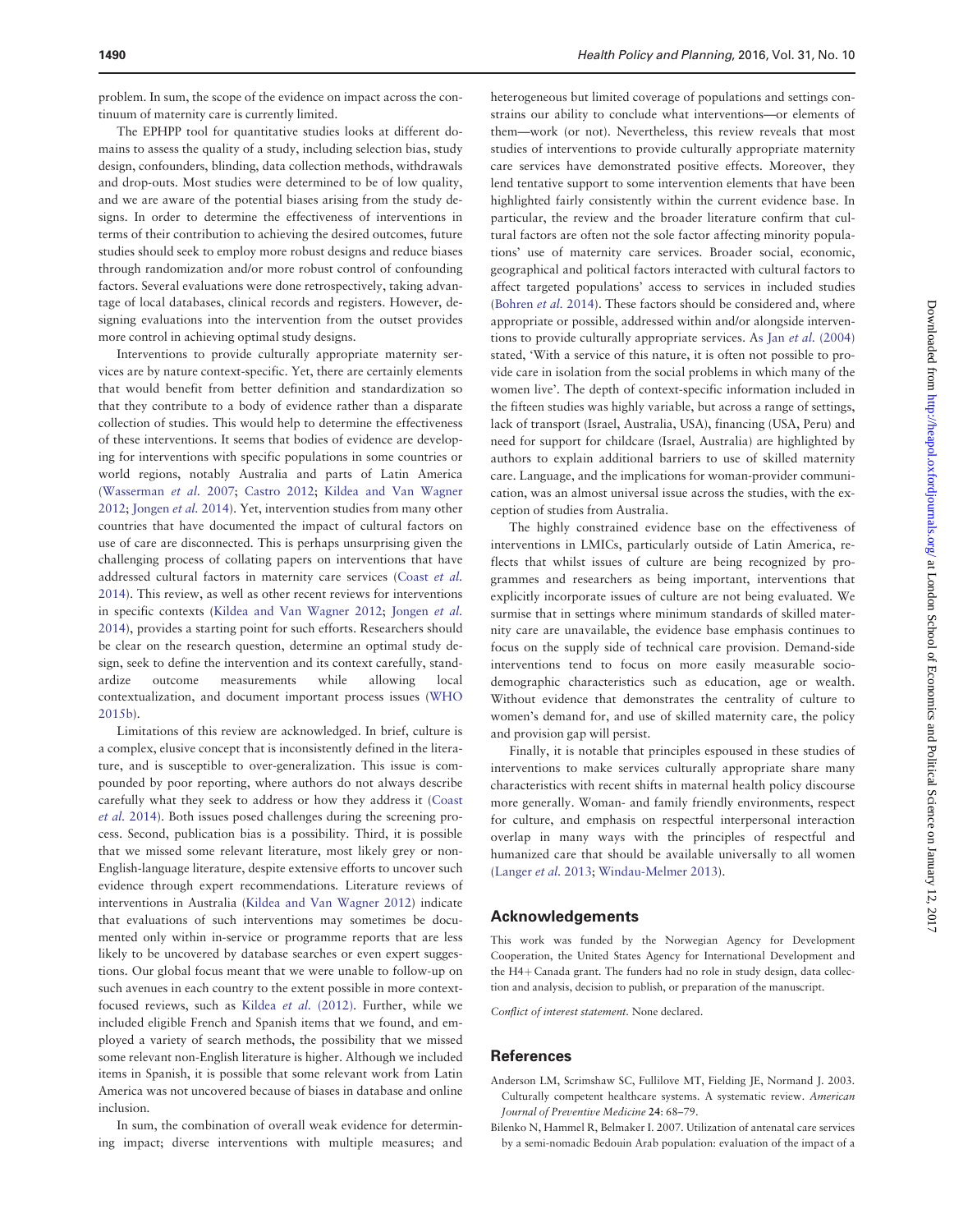<span id="page-12-0"></span>problem. In sum, the scope of the evidence on impact across the continuum of maternity care is currently limited.

The EPHPP tool for quantitative studies looks at different domains to assess the quality of a study, including selection bias, study design, confounders, blinding, data collection methods, withdrawals and drop-outs. Most studies were determined to be of low quality, and we are aware of the potential biases arising from the study designs. In order to determine the effectiveness of interventions in terms of their contribution to achieving the desired outcomes, future studies should seek to employ more robust designs and reduce biases through randomization and/or more robust control of confounding factors. Several evaluations were done retrospectively, taking advantage of local databases, clinical records and registers. However, designing evaluations into the intervention from the outset provides more control in achieving optimal study designs.

Interventions to provide culturally appropriate maternity services are by nature context-specific. Yet, there are certainly elements that would benefit from better definition and standardization so that they contribute to a body of evidence rather than a disparate collection of studies. This would help to determine the effectiveness of these interventions. It seems that bodies of evidence are developing for interventions with specific populations in some countries or world regions, notably Australia and parts of Latin America ([Wasserman](#page-13-0) et al. 2007; [Castro 2012;](#page-13-0) [Kildea and Van Wagner](#page-13-0) [2012;](#page-13-0) [Jongen](#page-13-0) et al. 2014). Yet, intervention studies from many other countries that have documented the impact of cultural factors on use of care are disconnected. This is perhaps unsurprising given the challenging process of collating papers on interventions that have addressed cultural factors in maternity care services [\(Coast](#page-13-0) et al. [2014\)](#page-13-0). This review, as well as other recent reviews for interventions in specific contexts [\(Kildea and Van Wagner 2012](#page-13-0); [Jongen](#page-13-0) et al. [2014\)](#page-13-0), provides a starting point for such efforts. Researchers should be clear on the research question, determine an optimal study design, seek to define the intervention and its context carefully, standardize outcome measurements while allowing local contextualization, and document important process issues ([WHO](#page-13-0) [2015b](#page-13-0)).

Limitations of this review are acknowledged. In brief, culture is a complex, elusive concept that is inconsistently defined in the literature, and is susceptible to over-generalization. This issue is compounded by poor reporting, where authors do not always describe carefully what they seek to address or how they address it [\(Coast](#page-13-0) et al. [2014\)](#page-13-0). Both issues posed challenges during the screening process. Second, publication bias is a possibility. Third, it is possible that we missed some relevant literature, most likely grey or non-English-language literature, despite extensive efforts to uncover such evidence through expert recommendations. Literature reviews of interventions in Australia [\(Kildea and Van Wagner 2012](#page-13-0)) indicate that evaluations of such interventions may sometimes be documented only within in-service or programme reports that are less likely to be uncovered by database searches or even expert suggestions. Our global focus meant that we were unable to follow-up on such avenues in each country to the extent possible in more contextfocused reviews, such as Kildea et al. [\(2012\).](#page-13-0) Further, while we included eligible French and Spanish items that we found, and employed a variety of search methods, the possibility that we missed some relevant non-English literature is higher. Although we included items in Spanish, it is possible that some relevant work from Latin America was not uncovered because of biases in database and online inclusion.

In sum, the combination of overall weak evidence for determining impact; diverse interventions with multiple measures; and

heterogeneous but limited coverage of populations and settings constrains our ability to conclude what interventions—or elements of them—work (or not). Nevertheless, this review reveals that most studies of interventions to provide culturally appropriate maternity care services have demonstrated positive effects. Moreover, they lend tentative support to some intervention elements that have been highlighted fairly consistently within the current evidence base. In particular, the review and the broader literature confirm that cultural factors are often not the sole factor affecting minority populations' use of maternity care services. Broader social, economic, geographical and political factors interacted with cultural factors to affect targeted populations' access to services in included studies ([Bohren](#page-13-0) et al. 2014). These factors should be considered and, where appropriate or possible, addressed within and/or alongside interventions to provide culturally appropriate services. As Jan et al. [\(2004\)](#page-13-0) stated, 'With a service of this nature, it is often not possible to provide care in isolation from the social problems in which many of the women live'. The depth of context-specific information included in the fifteen studies was highly variable, but across a range of settings, lack of transport (Israel, Australia, USA), financing (USA, Peru) and need for support for childcare (Israel, Australia) are highlighted by authors to explain additional barriers to use of skilled maternity care. Language, and the implications for woman-provider communication, was an almost universal issue across the studies, with the exception of studies from Australia.

The highly constrained evidence base on the effectiveness of interventions in LMICs, particularly outside of Latin America, reflects that whilst issues of culture are being recognized by programmes and researchers as being important, interventions that explicitly incorporate issues of culture are not being evaluated. We surmise that in settings where minimum standards of skilled maternity care are unavailable, the evidence base emphasis continues to focus on the supply side of technical care provision. Demand-side interventions tend to focus on more easily measurable sociodemographic characteristics such as education, age or wealth. Without evidence that demonstrates the centrality of culture to women's demand for, and use of skilled maternity care, the policy and provision gap will persist.

Finally, it is notable that principles espoused in these studies of interventions to make services culturally appropriate share many characteristics with recent shifts in maternal health policy discourse more generally. Woman- and family friendly environments, respect for culture, and emphasis on respectful interpersonal interaction overlap in many ways with the principles of respectful and humanized care that should be available universally to all women ([Langer](#page-13-0) et al. 2013; [Windau-Melmer 2013](#page-13-0)).

#### Acknowledgements

This work was funded by the Norwegian Agency for Development Cooperation, the United States Agency for International Development and the  $H4+$  Canada grant. The funders had no role in study design, data collection and analysis, decision to publish, or preparation of the manuscript.

Conflict of interest statement. None declared.

#### References

- Anderson LM, Scrimshaw SC, Fullilove MT, Fielding JE, Normand J. 2003. Culturally competent healthcare systems. A systematic review. American Journal of Preventive Medicine 24: 68–79.
- Bilenko N, Hammel R, Belmaker I. 2007. Utilization of antenatal care services by a semi-nomadic Bedouin Arab population: evaluation of the impact of a